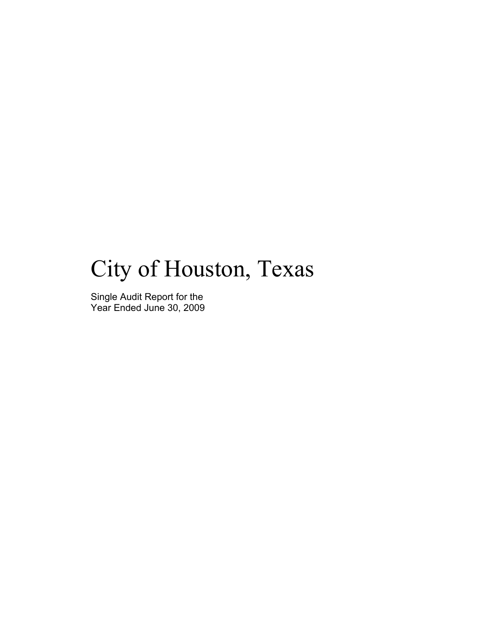# City of Houston, Texas

Single Audit Report for the Year Ended June 30, 2009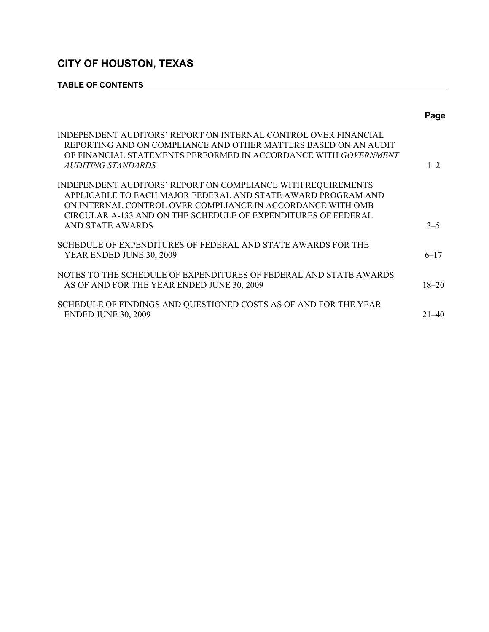### **TABLE OF CONTENTS**

|                                                                                                                                                                                                                                                                                 | Page      |
|---------------------------------------------------------------------------------------------------------------------------------------------------------------------------------------------------------------------------------------------------------------------------------|-----------|
| INDEPENDENT AUDITORS' REPORT ON INTERNAL CONTROL OVER FINANCIAL<br>REPORTING AND ON COMPLIANCE AND OTHER MATTERS BASED ON AN AUDIT<br>OF FINANCIAL STATEMENTS PERFORMED IN ACCORDANCE WITH GOVERNMENT<br>AUDITING STANDARDS                                                     | $1 - 2$   |
| INDEPENDENT AUDITORS' REPORT ON COMPLIANCE WITH REQUIREMENTS<br>APPLICABLE TO EACH MAJOR FEDERAL AND STATE AWARD PROGRAM AND<br>ON INTERNAL CONTROL OVER COMPLIANCE IN ACCORDANCE WITH OMB<br>CIRCULAR A-133 AND ON THE SCHEDULE OF EXPENDITURES OF FEDERAL<br>AND STATE AWARDS | $3 - 5$   |
| SCHEDULE OF EXPENDITURES OF FEDERAL AND STATE AWARDS FOR THE<br>YEAR ENDED JUNE 30, 2009                                                                                                                                                                                        | $6 - 17$  |
| NOTES TO THE SCHEDULE OF EXPENDITURES OF FEDERAL AND STATE AWARDS<br>AS OF AND FOR THE YEAR ENDED JUNE 30, 2009                                                                                                                                                                 | $18 - 20$ |
| SCHEDULE OF FINDINGS AND QUESTIONED COSTS AS OF AND FOR THE YEAR<br><b>ENDED JUNE 30, 2009</b>                                                                                                                                                                                  | $21 - 40$ |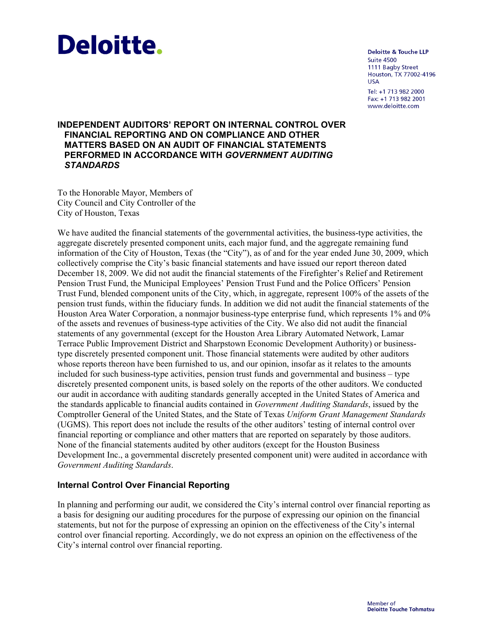# **Deloitte.**

**Deloitte & Touche LLP**  $Suite$ 4500 1111 Bagby Street Houston, TX 77002-4196 **USA** Tel: +1 713 982 2000 Fax: +1 713 982 2001 www.deloitte.com

### **INDEPENDENT AUDITORS' REPORT ON INTERNAL CONTROL OVER FINANCIAL REPORTING AND ON COMPLIANCE AND OTHER MATTERS BASED ON AN AUDIT OF FINANCIAL STATEMENTS PERFORMED IN ACCORDANCE WITH** *GOVERNMENT AUDITING STANDARDS*

To the Honorable Mayor, Members of City Council and City Controller of the City of Houston, Texas

We have audited the financial statements of the governmental activities, the business-type activities, the aggregate discretely presented component units, each major fund, and the aggregate remaining fund information of the City of Houston, Texas (the "City"), as of and for the year ended June 30, 2009, which collectively comprise the City's basic financial statements and have issued our report thereon dated December 18, 2009. We did not audit the financial statements of the Firefighter's Relief and Retirement Pension Trust Fund, the Municipal Employees' Pension Trust Fund and the Police Officers' Pension Trust Fund, blended component units of the City, which, in aggregate, represent 100% of the assets of the pension trust funds, within the fiduciary funds. In addition we did not audit the financial statements of the Houston Area Water Corporation, a nonmajor business-type enterprise fund, which represents 1% and 0% of the assets and revenues of business-type activities of the City. We also did not audit the financial statements of any governmental (except for the Houston Area Library Automated Network, Lamar Terrace Public Improvement District and Sharpstown Economic Development Authority) or businesstype discretely presented component unit. Those financial statements were audited by other auditors whose reports thereon have been furnished to us, and our opinion, insofar as it relates to the amounts included for such business-type activities, pension trust funds and governmental and business – type discretely presented component units, is based solely on the reports of the other auditors. We conducted our audit in accordance with auditing standards generally accepted in the United States of America and the standards applicable to financial audits contained in *Government Auditing Standards*, issued by the Comptroller General of the United States, and the State of Texas *Uniform Grant Management Standards* (UGMS). This report does not include the results of the other auditors' testing of internal control over financial reporting or compliance and other matters that are reported on separately by those auditors. None of the financial statements audited by other auditors (except for the Houston Business Development Inc., a governmental discretely presented component unit) were audited in accordance with *Government Auditing Standards*.

### **Internal Control Over Financial Reporting**

In planning and performing our audit, we considered the City's internal control over financial reporting as a basis for designing our auditing procedures for the purpose of expressing our opinion on the financial statements, but not for the purpose of expressing an opinion on the effectiveness of the City's internal control over financial reporting. Accordingly, we do not express an opinion on the effectiveness of the City's internal control over financial reporting.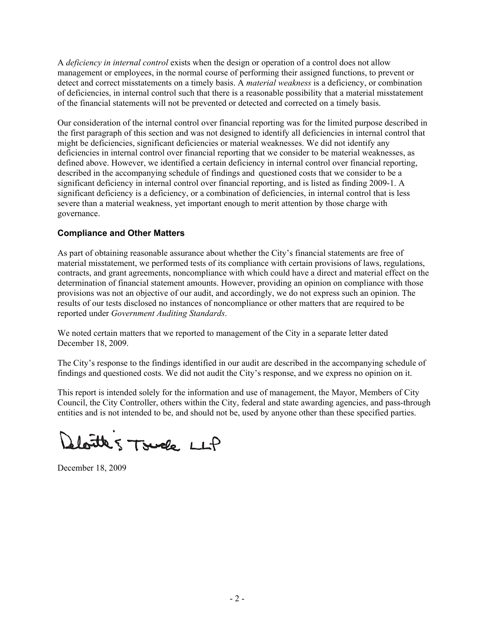A *deficiency in internal control* exists when the design or operation of a control does not allow management or employees, in the normal course of performing their assigned functions, to prevent or detect and correct misstatements on a timely basis. A *material weakness* is a deficiency, or combination of deficiencies, in internal control such that there is a reasonable possibility that a material misstatement of the financial statements will not be prevented or detected and corrected on a timely basis.

Our consideration of the internal control over financial reporting was for the limited purpose described in the first paragraph of this section and was not designed to identify all deficiencies in internal control that might be deficiencies, significant deficiencies or material weaknesses. We did not identify any deficiencies in internal control over financial reporting that we consider to be material weaknesses, as defined above. However, we identified a certain deficiency in internal control over financial reporting, described in the accompanying schedule of findings and questioned costs that we consider to be a significant deficiency in internal control over financial reporting, and is listed as finding 2009-1. A significant deficiency is a deficiency, or a combination of deficiencies, in internal control that is less severe than a material weakness, yet important enough to merit attention by those charge with governance.

### **Compliance and Other Matters**

As part of obtaining reasonable assurance about whether the City's financial statements are free of material misstatement, we performed tests of its compliance with certain provisions of laws, regulations, contracts, and grant agreements, noncompliance with which could have a direct and material effect on the determination of financial statement amounts. However, providing an opinion on compliance with those provisions was not an objective of our audit, and accordingly, we do not express such an opinion. The results of our tests disclosed no instances of noncompliance or other matters that are required to be reported under *Government Auditing Standards*.

We noted certain matters that we reported to management of the City in a separate letter dated December 18, 2009.

The City's response to the findings identified in our audit are described in the accompanying schedule of findings and questioned costs. We did not audit the City's response, and we express no opinion on it.

This report is intended solely for the information and use of management, the Mayor, Members of City Council, the City Controller, others within the City, federal and state awarding agencies, and pass-through entities and is not intended to be, and should not be, used by anyone other than these specified parties.

loutes Tsuck LLP

December 18, 2009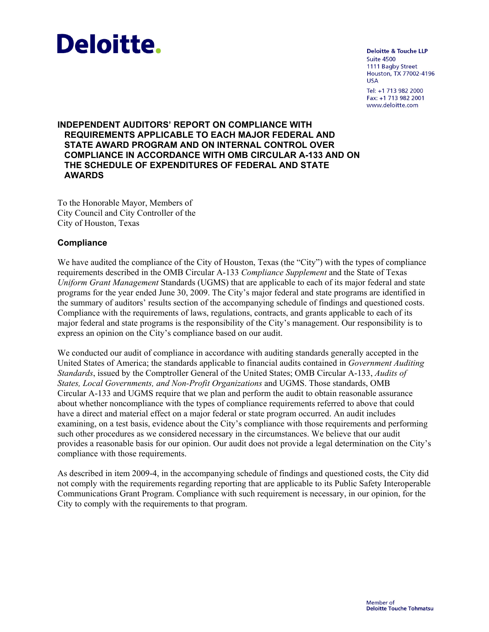

**Deloitte & Touche LLP Suite 4500** 1111 Bagby Street Houston, TX 77002-4196 **USA** Tel: +1 713 982 2000 Fax: +1 713 982 2001 www.deloitte.com

### **INDEPENDENT AUDITORS' REPORT ON COMPLIANCE WITH REQUIREMENTS APPLICABLE TO EACH MAJOR FEDERAL AND STATE AWARD PROGRAM AND ON INTERNAL CONTROL OVER COMPLIANCE IN ACCORDANCE WITH OMB CIRCULAR A-133 AND ON THE SCHEDULE OF EXPENDITURES OF FEDERAL AND STATE AWARDS**

To the Honorable Mayor, Members of City Council and City Controller of the City of Houston, Texas

### **Compliance**

We have audited the compliance of the City of Houston, Texas (the "City") with the types of compliance requirements described in the OMB Circular A-133 *Compliance Supplement* and the State of Texas *Uniform Grant Management* Standards (UGMS) that are applicable to each of its major federal and state programs for the year ended June 30, 2009. The City's major federal and state programs are identified in the summary of auditors' results section of the accompanying schedule of findings and questioned costs. Compliance with the requirements of laws, regulations, contracts, and grants applicable to each of its major federal and state programs is the responsibility of the City's management. Our responsibility is to express an opinion on the City's compliance based on our audit.

We conducted our audit of compliance in accordance with auditing standards generally accepted in the United States of America; the standards applicable to financial audits contained in *Government Auditing Standards*, issued by the Comptroller General of the United States; OMB Circular A-133, *Audits of States, Local Governments, and Non-Profit Organizations* and UGMS. Those standards, OMB Circular A-133 and UGMS require that we plan and perform the audit to obtain reasonable assurance about whether noncompliance with the types of compliance requirements referred to above that could have a direct and material effect on a major federal or state program occurred. An audit includes examining, on a test basis, evidence about the City's compliance with those requirements and performing such other procedures as we considered necessary in the circumstances. We believe that our audit provides a reasonable basis for our opinion. Our audit does not provide a legal determination on the City's compliance with those requirements.

As described in item 2009-4, in the accompanying schedule of findings and questioned costs, the City did not comply with the requirements regarding reporting that are applicable to its Public Safety Interoperable Communications Grant Program. Compliance with such requirement is necessary, in our opinion, for the City to comply with the requirements to that program.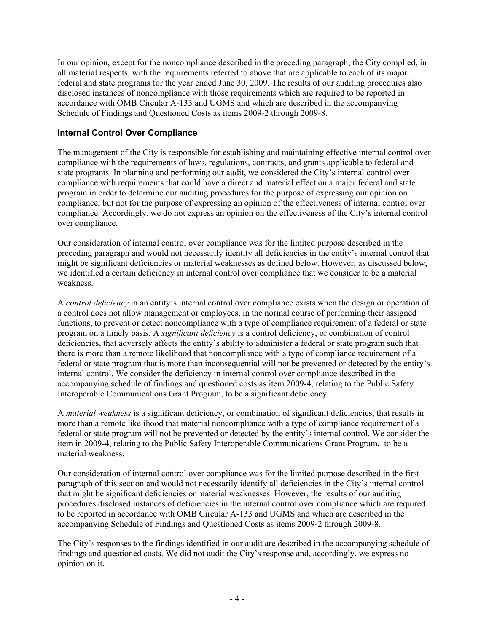In our opinion, except for the noncompliance described in the preceding paragraph, the City complied, in all material respects, with the requirements referred to above that are applicable to each of its major federal and state programs for the year ended June 30, 2009. The results of our auditing procedures also disclosed instances of noncompliance with those requirements which are required to be reported in accordance with OMB Circular A-133 and UGMS and which are described in the accompanying Schedule of Findings and Questioned Costs as items 2009-2 through 2009-8.

### **Internal Control Over Compliance**

The management of the City is responsible for establishing and maintaining effective internal control over compliance with the requirements of laws, regulations, contracts, and grants applicable to federal and state programs. In planning and performing our audit, we considered the City's internal control over compliance with requirements that could have a direct and material effect on a major federal and state program in order to determine our auditing procedures for the purpose of expressing our opinion on compliance, but not for the purpose of expressing an opinion of the effectiveness of internal control over compliance. Accordingly, we do not express an opinion on the effectiveness of the City's internal control over compliance.

Our consideration of internal control over compliance was for the limited purpose described in the preceding paragraph and would not necessarily identity all deficiencies in the entity's internal control that might be significant deficiencies or material weaknesses as defined below. However, as discussed below, we identified a certain deficiency in internal control over compliance that we consider to be a material weakness.

A *control deficiency* in an entity's internal control over compliance exists when the design or operation of a control does not allow management or employees, in the normal course of performing their assigned functions, to prevent or detect noncompliance with a type of compliance requirement of a federal or state program on a timely basis. A *significant deficiency* is a control deficiency, or combination of control deficiencies, that adversely affects the entity's ability to administer a federal or state program such that there is more than a remote likelihood that noncompliance with a type of compliance requirement of a federal or state program that is more than inconsequential will not be prevented or detected by the entity's internal control. We consider the deficiency in internal control over compliance described in the accompanying schedule of findings and questioned costs as item 2009-4, relating to the Public Safety Interoperable Communications Grant Program, to be a significant deficiency.

A *material weakness* is a significant deficiency, or combination of significant deficiencies, that results in more than a remote likelihood that material noncompliance with a type of compliance requirement of a federal or state program will not be prevented or detected by the entity's internal control. We consider the item in 2009-4, relating to the Public Safety Interoperable Communications Grant Program, to be a material weakness.

Our consideration of internal control over compliance was for the limited purpose described in the first paragraph of this section and would not necessarily identify all deficiencies in the City's internal control that might be significant deficiencies or material weaknesses. However, the results of our auditing procedures disclosed instances of deficiencies in the internal control over compliance which are required to be reported in accordance with OMB Circular A-133 and UGMS and which are described in the accompanying Schedule of Findings and Questioned Costs as items 2009-2 through 2009-8.

The City's responses to the findings identified in our audit are described in the accompanying schedule of findings and questioned costs. We did not audit the City's response and, accordingly, we express no opinion on it.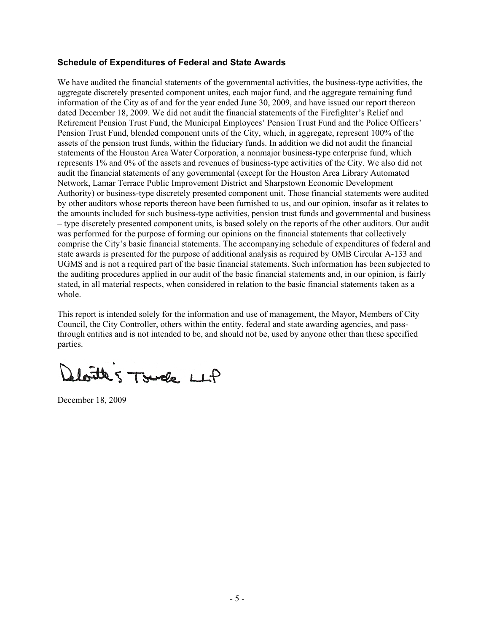### **Schedule of Expenditures of Federal and State Awards**

We have audited the financial statements of the governmental activities, the business-type activities, the aggregate discretely presented component unites, each major fund, and the aggregate remaining fund information of the City as of and for the year ended June 30, 2009, and have issued our report thereon dated December 18, 2009. We did not audit the financial statements of the Firefighter's Relief and Retirement Pension Trust Fund, the Municipal Employees' Pension Trust Fund and the Police Officers' Pension Trust Fund, blended component units of the City, which, in aggregate, represent 100% of the assets of the pension trust funds, within the fiduciary funds. In addition we did not audit the financial statements of the Houston Area Water Corporation, a nonmajor business-type enterprise fund, which represents 1% and 0% of the assets and revenues of business-type activities of the City. We also did not audit the financial statements of any governmental (except for the Houston Area Library Automated Network, Lamar Terrace Public Improvement District and Sharpstown Economic Development Authority) or business-type discretely presented component unit. Those financial statements were audited by other auditors whose reports thereon have been furnished to us, and our opinion, insofar as it relates to the amounts included for such business-type activities, pension trust funds and governmental and business – type discretely presented component units, is based solely on the reports of the other auditors. Our audit was performed for the purpose of forming our opinions on the financial statements that collectively comprise the City's basic financial statements. The accompanying schedule of expenditures of federal and state awards is presented for the purpose of additional analysis as required by OMB Circular A-133 and UGMS and is not a required part of the basic financial statements. Such information has been subjected to the auditing procedures applied in our audit of the basic financial statements and, in our opinion, is fairly stated, in all material respects, when considered in relation to the basic financial statements taken as a whole.

This report is intended solely for the information and use of management, the Mayor, Members of City Council, the City Controller, others within the entity, federal and state awarding agencies, and passthrough entities and is not intended to be, and should not be, used by anyone other than these specified parties.

loutes Tsuck LLP

December 18, 2009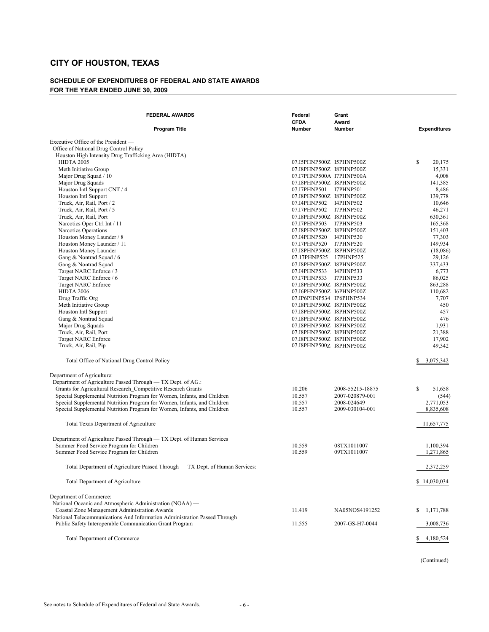#### **SCHEDULE OF EXPENDITURES OF FEDERAL AND STATE AWARDS FOR THE YEAR ENDED JUNE 30, 2009**

| <b>FEDERAL AWARDS</b>                                                                                                                                                                                                                                                                                                                                                                                                                                                                             | Federal<br><b>CFDA</b>                                                                                                                                                                                                                                                                                                                                                                                                                                                                 | Grant<br>Award                                                        |                                                                                                                                                                             |
|---------------------------------------------------------------------------------------------------------------------------------------------------------------------------------------------------------------------------------------------------------------------------------------------------------------------------------------------------------------------------------------------------------------------------------------------------------------------------------------------------|----------------------------------------------------------------------------------------------------------------------------------------------------------------------------------------------------------------------------------------------------------------------------------------------------------------------------------------------------------------------------------------------------------------------------------------------------------------------------------------|-----------------------------------------------------------------------|-----------------------------------------------------------------------------------------------------------------------------------------------------------------------------|
| <b>Program Title</b>                                                                                                                                                                                                                                                                                                                                                                                                                                                                              | Number                                                                                                                                                                                                                                                                                                                                                                                                                                                                                 | Number                                                                | <b>Expenditures</b>                                                                                                                                                         |
| Executive Office of the President —<br>Office of National Drug Control Policy —<br>Houston High Intensity Drug Trafficking Area (HIDTA)<br><b>HIDTA 2005</b><br>Meth Initiative Group<br>Major Drug Squad / 10<br>Major Drug Squads<br>Houston Intl Support CNT / 4<br>Houston Intl Support<br>Truck, Air, Rail, Port / 2<br>Truck, Air, Rail, Port / 5<br>Truck, Air, Rail, Port                                                                                                                 | 07.I5PHNP500Z I5PHNP500Z<br>07.I8PHNP500Z I8PHNP500Z<br>07.I7PHNP500A I7PHNP500A<br>07.I8PHNP500Z I8PHNP500Z<br>07.I7PHNP501 I7PHNP501<br>07.I8PHNP500Z I8PHNP500Z<br>07.I4PHNP502 I4PHNP502<br>07.I7PHNP502 I7PHNP502<br>07.I8PHNP500Z I8PHNP500Z<br>07.I7PHNP503 I7PHNP503                                                                                                                                                                                                           |                                                                       | \$<br>20,175<br>15,331<br>4,008<br>141,385<br>8,486<br>139,778<br>10,646<br>46,271<br>630,361<br>165,368                                                                    |
| Narcotics Oper Ctrl Int / 11<br>Narcotics Operations<br>Houston Money Launder / 8<br>Houston Money Launder / 11<br>Houston Money Launder<br>Gang & Nontrad Squad / 6<br>Gang & Nontrad Squad<br>Target NARC Enforce / 3<br>Target NARC Enforce / 6<br><b>Target NARC Enforce</b><br><b>HIDTA 2006</b><br>Drug Traffic Org<br>Meth Initiative Group<br>Houston Intl Support<br>Gang & Nontrad Squad<br>Major Drug Squads<br>Truck, Air, Rail, Port<br>Target NARC Enforce<br>Truck, Air, Rail, Pip | 07.I8PHNP500Z I8PHNP500Z<br>07.I4PHNP520<br>07.I7PHNP520 I7PHNP520<br>07.I8PHNP500Z I8PHNP500Z<br>07.17PHNP525 17PHNP525<br>07.I8PHNP500Z I8PHNP500Z<br>07.I4PHNP533<br>07.I7PHNP533 I7PHNP533<br>07.I8PHNP500Z I8PHNP500Z<br>07.I6PHNP500Z I6PHNP500Z<br>07.IP6PHNP534 IP6PHNP534<br>07.I8PHNP500Z I8PHNP500Z<br>07.I8PHNP500Z I8PHNP500Z<br>07.I8PHNP500Z I8PHNP500Z<br>07.I8PHNP500Z I8PHNP500Z<br>07.I8PHNP500Z I8PHNP500Z<br>07.I8PHNP500Z I8PHNP500Z<br>07.I8PHNP500Z I8PHNP500Z | I4PHNP520<br>I4PHNP533                                                | 151,403<br>77,303<br>149,934<br>(18,086)<br>29,126<br>337,433<br>6,773<br>86,025<br>863,288<br>110,682<br>7,707<br>450<br>457<br>476<br>1,931<br>21,388<br>17,902<br>49,342 |
| Total Office of National Drug Control Policy                                                                                                                                                                                                                                                                                                                                                                                                                                                      |                                                                                                                                                                                                                                                                                                                                                                                                                                                                                        |                                                                       | S.<br>3,075,342                                                                                                                                                             |
| Department of Agriculture:<br>Department of Agriculture Passed Through - TX Dept. of AG.:<br>Grants for Agricultural Research Competitive Research Grants<br>Special Supplemental Nutrition Program for Women, Infants, and Children<br>Special Supplemental Nutrition Program for Women, Infants, and Children<br>Special Supplemental Nutrition Program for Women, Infants, and Children                                                                                                        | 10.206<br>10.557<br>10.557<br>10.557                                                                                                                                                                                                                                                                                                                                                                                                                                                   | 2008-55215-18875<br>2007-020879-001<br>2008-024649<br>2009-030104-001 | \$<br>51,658<br>(544)<br>2,771,053<br>8,835,608                                                                                                                             |
| Total Texas Department of Agriculture                                                                                                                                                                                                                                                                                                                                                                                                                                                             |                                                                                                                                                                                                                                                                                                                                                                                                                                                                                        |                                                                       | 11,657,775                                                                                                                                                                  |
| Department of Agriculture Passed Through — TX Dept. of Human Services<br>Summer Food Service Program for Children<br>Summer Food Service Program for Children                                                                                                                                                                                                                                                                                                                                     | 10.559<br>10.559                                                                                                                                                                                                                                                                                                                                                                                                                                                                       | 08TX1011007<br>09TX1011007                                            | 1,100,394<br>1,271,865                                                                                                                                                      |
| Total Department of Agriculture Passed Through - TX Dept. of Human Services:                                                                                                                                                                                                                                                                                                                                                                                                                      |                                                                                                                                                                                                                                                                                                                                                                                                                                                                                        |                                                                       | 2,372,259                                                                                                                                                                   |
| Total Department of Agriculture                                                                                                                                                                                                                                                                                                                                                                                                                                                                   |                                                                                                                                                                                                                                                                                                                                                                                                                                                                                        |                                                                       | \$14,030,034                                                                                                                                                                |
| Department of Commerce:<br>National Oceanic and Atmospheric Administration (NOAA) —<br>Coastal Zone Management Administration Awards<br>National Telecommunications And Information Administration Passed Through<br>Public Safety Interoperable Communication Grant Program                                                                                                                                                                                                                      | 11.419<br>11.555                                                                                                                                                                                                                                                                                                                                                                                                                                                                       | NA05NOS4191252<br>2007-GS-H7-0044                                     | S.<br>1,171,788<br>3,008,736                                                                                                                                                |
| Total Department of Commerce                                                                                                                                                                                                                                                                                                                                                                                                                                                                      |                                                                                                                                                                                                                                                                                                                                                                                                                                                                                        |                                                                       | 4,180,524<br>S.                                                                                                                                                             |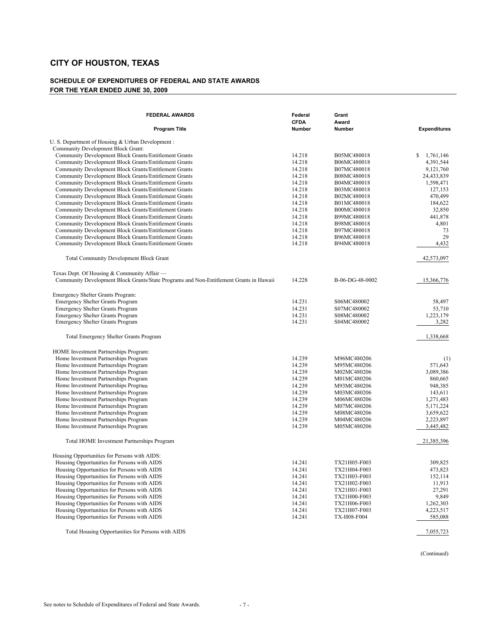#### **SCHEDULE OF EXPENDITURES OF FEDERAL AND STATE AWARDS FOR THE YEAR ENDED JUNE 30, 2009**

| <b>FEDERAL AWARDS</b><br><b>Program Title</b>                                                                  | Federal<br><b>CFDA</b><br><b>Number</b> | Grant<br>Award<br><b>Number</b> | <b>Expenditures</b>     |
|----------------------------------------------------------------------------------------------------------------|-----------------------------------------|---------------------------------|-------------------------|
|                                                                                                                |                                         |                                 |                         |
| U. S. Department of Housing & Urban Development:                                                               |                                         |                                 |                         |
| Community Development Block Grant:                                                                             |                                         |                                 |                         |
| Community Development Block Grants/Entitlement Grants                                                          | 14.218                                  | B05MC480018                     | \$<br>1,761,146         |
| Community Development Block Grants/Entitlement Grants                                                          | 14.218                                  | B06MC480018                     | 4,391,544               |
| Community Development Block Grants/Entitlement Grants                                                          | 14.218<br>14.218                        | B07MC480018                     | 9,121,760               |
| Community Development Block Grants/Entitlement Grants                                                          | 14.218                                  | B08MC480018<br>B04MC480018      | 24,433,839<br>1,598,471 |
| Community Development Block Grants/Entitlement Grants<br>Community Development Block Grants/Entitlement Grants | 14.218                                  | B03MC480018                     | 127,153                 |
| Community Development Block Grants/Entitlement Grants                                                          | 14.218                                  | B02MC480018                     | 470,499                 |
| Community Development Block Grants/Entitlement Grants                                                          | 14.218                                  | B01MC480018                     | 184,622                 |
| Community Development Block Grants/Entitlement Grants                                                          | 14.218                                  | B00MC480018                     | 32,850                  |
| Community Development Block Grants/Entitlement Grants                                                          | 14.218                                  | B99MC480018                     | 441,878                 |
| Community Development Block Grants/Entitlement Grants                                                          | 14.218                                  | B98MC480018                     | 4,801                   |
| Community Development Block Grants/Entitlement Grants                                                          | 14.218                                  | B97MC480018                     | 73                      |
| Community Development Block Grants/Entitlement Grants                                                          | 14.218                                  | B96MC480018                     | 29                      |
| Community Development Block Grants/Entitlement Grants                                                          | 14.218                                  | B94MC480018                     | 4,432                   |
|                                                                                                                |                                         |                                 |                         |
| <b>Total Community Development Block Grant</b>                                                                 |                                         |                                 | 42,573,097              |
| Texas Dept. Of Housing & Community Affair —                                                                    |                                         |                                 |                         |
| Community Development Block Grants/State Programs and Non-Entitlement Grants in Hawaii                         | 14.228                                  | B-06-DG-48-0002                 | 15,366,776              |
| Emergency Shelter Grants Program:                                                                              |                                         |                                 |                         |
| Emergency Shelter Grants Program                                                                               | 14.231                                  | S06MC480002                     | 58,497                  |
| Emergency Shelter Grants Program                                                                               | 14.231                                  | S07MC480002                     | 53,710                  |
| <b>Emergency Shelter Grants Program</b>                                                                        | 14.231                                  | S08MC480002                     | 1,223,179               |
| <b>Emergency Shelter Grants Program</b>                                                                        | 14.231                                  | S04MC480002                     | 3,282                   |
| <b>Total Emergency Shelter Grants Program</b>                                                                  |                                         |                                 | 1,338,668               |
| HOME Investment Partnerships Program:                                                                          |                                         |                                 |                         |
| Home Investment Partnerships Program                                                                           | 14.239                                  | M96MC480206                     | (1)                     |
| Home Investment Partnerships Program                                                                           | 14.239                                  | M95MC480206                     | 571,643                 |
| Home Investment Partnerships Program                                                                           | 14.239                                  | M02MC480206                     | 3,089,386               |
| Home Investment Partnerships Program                                                                           | 14.239                                  | M01MC480206                     | 860,665                 |
| Home Investment Partnerships Program                                                                           | 14.239                                  | M93MC480206                     | 948,385                 |
| Home Investment Partnerships Program                                                                           | 14.239                                  | M03MC480206                     | 143,611                 |
| Home Investment Partnerships Program                                                                           | 14.239                                  | M06MC480206                     | 1,271,483               |
| Home Investment Partnerships Program                                                                           | 14.239                                  | M07MC480206                     | 5,171,224               |
| Home Investment Partnerships Program                                                                           | 14.239                                  | M08MC480206                     | 3,659,622               |
| Home Investment Partnerships Program                                                                           | 14.239                                  | M04MC480206                     | 2,223,897               |
| Home Investment Partnerships Program                                                                           | 14.239                                  | M05MC480206                     | 3,445,482               |
| Total HOME Investment Partnerships Program                                                                     |                                         |                                 | 21,385,396              |
| Housing Opportunities for Persons with AIDS:                                                                   |                                         |                                 |                         |
| Housing Opportunities for Persons with AIDS                                                                    | 14.241                                  | TX21H05-F003                    | 309,825                 |
| Housing Opportunities for Persons with AIDS                                                                    | 14.241                                  | TX21H04-F003                    | 473,823                 |
| Housing Opportunities for Persons with AIDS                                                                    | 14.241                                  | TX21H03-F003                    | 152,114                 |
| Housing Opportunities for Persons with AIDS                                                                    | 14.241                                  | TX21H02-F003                    | 11,913                  |
| Housing Opportunities for Persons with AIDS                                                                    | 14.241                                  | TX21H01-F003                    | 27,291                  |
| Housing Opportunities for Persons with AIDS                                                                    | 14.241                                  | TX21H00-F003                    | 9,849                   |
| Housing Opportunities for Persons with AIDS                                                                    | 14.241                                  | TX21H06-F003                    | 1,262,303               |
| Housing Opportunities for Persons with AIDS                                                                    | 14.241                                  | TX21H07-F003                    | 4,223,517               |
| Housing Opportunities for Persons with AIDS                                                                    | 14.241                                  | <b>TX-H08-F004</b>              | 585,088                 |

Total Housing Opportunities for Persons with AIDS 7,055,723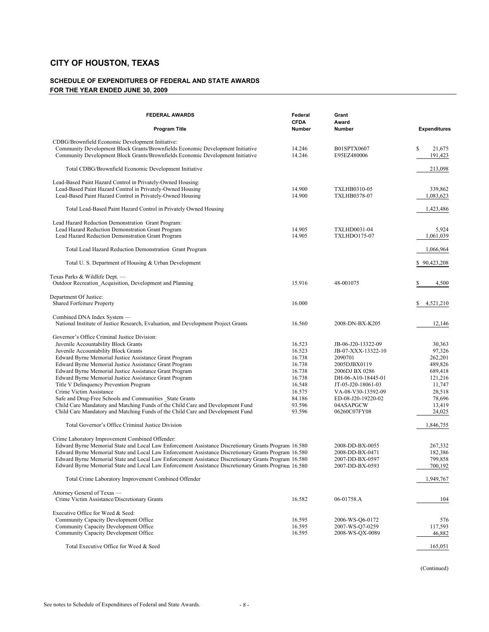#### **SCHEDULE OF EXPENDITURES OF FEDERAL AND STATE AWARDS FOR THE YEAR ENDED JUNE 30, 2009**

| <b>FEDERAL AWARDS</b>                                                                                                                                            | Federal<br><b>CFDA</b> | Grant<br>Award                      |                         |
|------------------------------------------------------------------------------------------------------------------------------------------------------------------|------------------------|-------------------------------------|-------------------------|
| <b>Program Title</b>                                                                                                                                             | Number                 | Number                              | <b>Expenditures</b>     |
| CDBG/Brownfield Economic Development Initiative:                                                                                                                 |                        |                                     |                         |
| Community Development Block Grants/Brownfields Economic Development Initiative<br>Community Development Block Grants/Brownfields Economic Development Initiative | 14.246<br>14.246       | B01SPTX0607<br>E95EZ480006          | \$<br>21,675<br>191,423 |
| Total CDBG/Brownfield Economic Development Initiative                                                                                                            |                        |                                     | 213,098                 |
| Lead-Based Paint Hazard Control in Privately-Owned Housing:                                                                                                      |                        |                                     |                         |
| Lead-Based Paint Hazard Control in Privately-Owned Housing<br>Lead-Based Paint Hazard Control in Privately-Owned Housing                                         | 14.900<br>14.900       | TXLHB0310-05<br><b>TXLHB0378-07</b> | 339,862<br>1,083,623    |
| Total Lead-Based Paint Hazard Control in Privately Owned Housing                                                                                                 |                        |                                     | 1,423,486               |
| Lead Hazard Reduction Demonstration Grant Program:                                                                                                               |                        |                                     |                         |
| Lead Hazard Reduction Demonstration Grant Program                                                                                                                | 14.905                 | <b>TXLHD0031-04</b>                 | 5,924                   |
| Lead Hazard Reduction Demonstration Grant Program                                                                                                                | 14.905                 | <b>TXLHDO175-07</b>                 | 1,061,039               |
| Total Lead Hazard Reduction Demonstration Grant Program                                                                                                          |                        |                                     | 1,066,964               |
| Total U.S. Department of Housing & Urban Development                                                                                                             |                        |                                     | \$90,423,208            |
| Texas Parks & Wildlife Dept. -                                                                                                                                   |                        |                                     |                         |
| Outdoor Recreation Acquisition, Development and Planning                                                                                                         | 15.916                 | 48-001075                           | 4,500                   |
| Department Of Justice:                                                                                                                                           |                        |                                     |                         |
| Shared Forfeiture Property                                                                                                                                       | 16.000                 |                                     | 4,521,210<br>S          |
| Combined DNA Index System —                                                                                                                                      |                        |                                     |                         |
| National Institute of Justice Research, Evaluation, and Development Project Grants                                                                               | 16.560                 | 2008-DN-BX-K205                     | 12,146                  |
| Governor's Office Criminal Justice Division:                                                                                                                     |                        |                                     |                         |
| Juvenile Accountability Block Grants                                                                                                                             | 16.523                 | JB-06-J20-13322-09                  | 30,363                  |
| Juvenile Accountability Block Grants                                                                                                                             | 16.523                 | JB-07-XXX-13322-10                  | 97,326                  |
| Edward Byrne Memorial Justice Assistance Grant Program                                                                                                           | 16.738                 | 2090701                             | 262,201                 |
| Edward Byrne Memorial Justice Assistance Grant Program                                                                                                           | 16.738                 | 2005DJBX0119                        | 489,826                 |
| Edward Byrne Memorial Justice Assistance Grant Program                                                                                                           | 16.738                 | 2006DJ BX 0286                      | 689,418                 |
| Edward Byrne Memorial Justice Assistance Grant Program                                                                                                           | 16.738                 | DH-06-A10-18445-01                  | 121,216                 |
| Title V Delinquency Prevention Program                                                                                                                           | 16.548                 | JT-05-J20-18061-03                  | 11,747                  |
| Crime Victim Assistance                                                                                                                                          | 16.575                 | VA-08-V30-13592-09                  | 28,518                  |
| Safe and Drug-Free Schools and Communities State Grants                                                                                                          | 84.186                 | ED-08-J20-19220-02                  | 78,696                  |
| Child Care Mandatory and Matching Funds of the Child Care and Development Fund                                                                                   | 93.596                 | 04ASAPGCW                           | 13,419                  |
| Child Care Mandatory and Matching Funds of the Child Care and Development Fund                                                                                   | 93.596                 | 06260C07FY08                        | 24,025                  |
| Total Governor's Office Criminal Justice Division                                                                                                                |                        |                                     | 1,846,755               |
| Crime Laboratory Improvement Combined Offender:                                                                                                                  |                        |                                     |                         |
| Edward Byrne Memorial State and Local Law Enforcement Assistance Discretionary Grants Program 16.580                                                             |                        | 2008-DD-BX-0055                     | 267,332                 |
| Edward Byrne Memorial State and Local Law Enforcement Assistance Discretionary Grants Program 16.580                                                             |                        | 2008-DD-BX-0471                     | 182,386                 |
| Edward Byrne Memorial State and Local Law Enforcement Assistance Discretionary Grants Program 16.580                                                             |                        | 2007-DD-BX-0597                     | 799,858                 |
| Edward Byrne Memorial State and Local Law Enforcement Assistance Discretionary Grants Program 16.580                                                             |                        | 2007-DD-BX-0593                     | 700,192                 |
| Total Crime Laboratory Improvement Combined Offender                                                                                                             |                        |                                     | 1,949,767               |
| Attorney General of Texas -                                                                                                                                      |                        |                                     |                         |
| Crime Victim Assistance/Discretionary Grants                                                                                                                     | 16.582                 | 06-01758.A                          | 104                     |
| Executive Office for Weed & Seed:                                                                                                                                |                        |                                     |                         |
| Community Capacity Development Office                                                                                                                            | 16.595                 | 2006-WS-O6-0172                     | 576                     |
| Community Capacity Development Office                                                                                                                            | 16.595                 | 2007-WS-O7-0259                     | 117,593                 |
| Community Capacity Development Office                                                                                                                            | 16.595                 | 2008-WS-QX-0089                     | 46,882                  |
| Total Executive Office for Weed & Seed                                                                                                                           |                        |                                     | 165,051                 |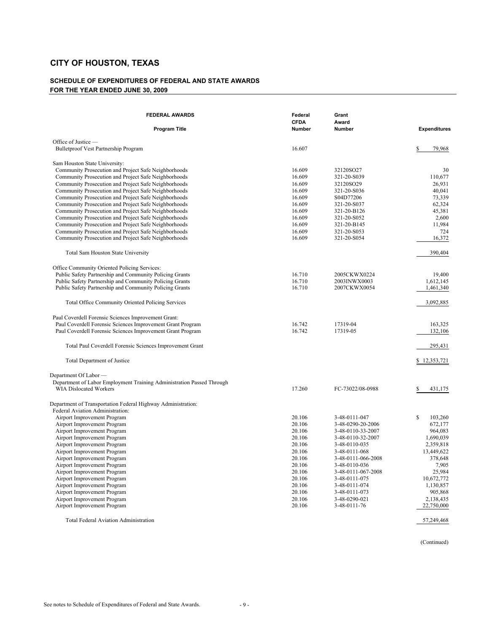#### **SCHEDULE OF EXPENDITURES OF FEDERAL AND STATE AWARDS FOR THE YEAR ENDED JUNE 30, 2009**

| <b>FEDERAL AWARDS</b>                                                                                        | Federal<br><b>CFDA</b> | Grant<br>Award                         |                     |
|--------------------------------------------------------------------------------------------------------------|------------------------|----------------------------------------|---------------------|
| <b>Program Title</b>                                                                                         | <b>Number</b>          | <b>Number</b>                          | <b>Expenditures</b> |
| Office of Justice —                                                                                          |                        |                                        |                     |
| Bulletproof Vest Partnership Program                                                                         | 16.607                 |                                        | \$<br>79,968        |
| Sam Houston State University:                                                                                |                        |                                        |                     |
| Community Prosecution and Project Safe Neighborhoods                                                         | 16.609                 | 32120SO27                              | 30                  |
| Community Prosecution and Project Safe Neighborhoods                                                         | 16.609                 | 321-20-S039                            | 110,677             |
| Community Prosecution and Project Safe Neighborhoods                                                         | 16.609                 | 32120SO29                              | 26,931              |
| Community Prosecution and Project Safe Neighborhoods                                                         | 16.609                 | 321-20-S036                            | 40,041              |
| Community Prosecution and Project Safe Neighborhoods                                                         | 16.609                 | S04D77206                              | 73,339              |
| Community Prosecution and Project Safe Neighborhoods                                                         | 16.609                 | 321-20-S037                            | 62,324              |
| Community Prosecution and Project Safe Neighborhoods                                                         | 16.609<br>16.609       | 321-20-B126                            | 45,381<br>2,600     |
| Community Prosecution and Project Safe Neighborhoods<br>Community Prosecution and Project Safe Neighborhoods | 16.609                 | 321-20-S052<br>321-20-B145             | 11,984              |
| Community Prosecution and Project Safe Neighborhoods                                                         | 16.609                 | 321-20-S053                            | 724                 |
| Community Prosecution and Project Safe Neighborhoods                                                         | 16.609                 | 321-20-S054                            | 16,372              |
| Total Sam Houston State University                                                                           |                        |                                        | 390,404             |
| Office Community Oriented Policing Services:                                                                 |                        |                                        |                     |
| Public Safety Partnership and Community Policing Grants                                                      | 16.710                 | 2005CKWX0224                           | 19,400              |
| Public Safety Partnership and Community Policing Grants                                                      | 16.710                 | 2003INWX0003                           | 1,612,145           |
| Public Safety Partnership and Community Policing Grants                                                      | 16.710                 | 2007CKWX0054                           | 1,461,340           |
| Total Office Community Oriented Policing Services                                                            |                        |                                        | 3,092,885           |
| Paul Coverdell Forensic Sciences Improvement Grant:                                                          |                        |                                        |                     |
| Paul Coverdell Forensic Sciences Improvement Grant Program                                                   | 16.742                 | 17319-04                               | 163,325             |
| Paul Coverdell Forensic Sciences Improvement Grant Program                                                   | 16.742                 | 17319-05                               | 132,106             |
| Total Paul Coverdell Forensic Sciences Improvement Grant                                                     |                        |                                        | 295,431             |
| Total Department of Justice                                                                                  |                        |                                        | \$12,353,721        |
| Department Of Labor —                                                                                        |                        |                                        |                     |
| Department of Labor Employment Training Administration Passed Through                                        |                        |                                        |                     |
| WIA Dislocated Workers                                                                                       | 17.260                 | FC-73022/08-0988                       | \$<br>431,175       |
| Department of Transportation Federal Highway Administration:                                                 |                        |                                        |                     |
| Federal Aviation Administration:                                                                             |                        |                                        |                     |
| Airport Improvement Program                                                                                  | 20.106                 | 3-48-0111-047                          | \$<br>103,260       |
| Airport Improvement Program<br>Airport Improvement Program                                                   | 20.106<br>20.106       | 3-48-0290-20-2006<br>3-48-0110-33-2007 | 672,177<br>964,083  |
| Airport Improvement Program                                                                                  | 20.106                 | 3-48-0110-32-2007                      | 1.690.039           |
| Airport Improvement Program                                                                                  | 20.106                 | 3-48-0110-035                          | 2,359,818           |
| Airport Improvement Program                                                                                  | 20.106                 | 3-48-0111-068                          | 13,449,622          |
| Airport Improvement Program                                                                                  | 20.106                 | 3-48-0111-066-2008                     | 378,648             |
| Airport Improvement Program                                                                                  | 20.106                 | 3-48-0110-036                          | 7,905               |
| Airport Improvement Program                                                                                  | 20.106                 | 3-48-0111-067-2008                     | 25,984              |
| Airport Improvement Program                                                                                  | 20.106                 | 3-48-0111-075                          | 10,672,772          |
| Airport Improvement Program                                                                                  | 20.106                 | 3-48-0111-074                          | 1,130,857           |
| Airport Improvement Program                                                                                  | 20.106                 | 3-48-0111-073                          | 905,868             |
| Airport Improvement Program                                                                                  | 20.106                 | 3-48-0290-021                          | 2,138,435           |
| Airport Improvement Program                                                                                  | 20.106                 | 3-48-0111-76                           | 22,750,000          |
| <b>Total Federal Aviation Administration</b>                                                                 |                        |                                        | 57,249,468          |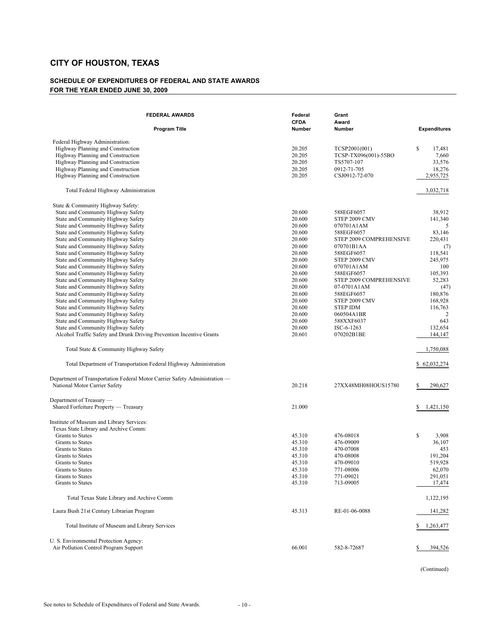#### **SCHEDULE OF EXPENDITURES OF FEDERAL AND STATE AWARDS FOR THE YEAR ENDED JUNE 30, 2009**

| <b>FEDERAL AWARDS</b><br><b>Program Title</b>                                                                                                                                                                            | Federal<br><b>CFDA</b><br><b>Number</b>        | Grant<br>Award<br><b>Number</b>                                                      | <b>Expenditures</b>                                    |
|--------------------------------------------------------------------------------------------------------------------------------------------------------------------------------------------------------------------------|------------------------------------------------|--------------------------------------------------------------------------------------|--------------------------------------------------------|
|                                                                                                                                                                                                                          |                                                |                                                                                      |                                                        |
| Federal Highway Administration:<br>Highway Planning and Construction<br>Highway Planning and Construction<br>Highway Planning and Construction<br>Highway Planning and Construction<br>Highway Planning and Construction | 20.205<br>20.205<br>20.205<br>20.205<br>20.205 | TCSP2001(001)<br>TCSP-TX096(001)-55BO<br>TS5707-107<br>0912-71-705<br>CSJ0912-72-070 | \$<br>17,481<br>7,660<br>33,576<br>18,276<br>2,955,725 |
| Total Federal Highway Administration                                                                                                                                                                                     |                                                |                                                                                      | 3,032,718                                              |
| State & Community Highway Safety:<br>State and Community Highway Safety<br>State and Community Highway Safety<br>State and Community Highway Safety                                                                      | 20.600<br>20.600<br>20.600                     | 588EGF6057<br>STEP 2009 CMV<br>070701A1AM                                            | 38,912<br>141,340<br>5                                 |
| State and Community Highway Safety<br>State and Community Highway Safety<br>State and Community Highway Safety<br>State and Community Highway Safety<br>State and Community Highway Safety                               | 20.600<br>20.600<br>20.600<br>20.600<br>20.600 | 588EGF6057<br>STEP 2009 COMPREHENSIVE<br>070701B1AA<br>588EGF6057<br>STEP 2009 CMV   | 83,146<br>220,431<br>(7)<br>118,541<br>245,975         |
| State and Community Highway Safety<br>State and Community Highway Safety<br>State and Community Highway Safety<br>State and Community Highway Safety<br>State and Community Highway Safety                               | 20.600<br>20.600<br>20.600<br>20.600<br>20.600 | 070701A1AM<br>588EGF6057<br>STEP 2009 COMPREHENSIVE<br>07-0701A1AM<br>588EGF6057     | 100<br>105,393<br>52,283<br>(47)<br>180,876            |
| State and Community Highway Safety<br>State and Community Highway Safety<br>State and Community Highway Safety<br>State and Community Highway Safety                                                                     | 20.600<br>20.600<br>20.600<br>20.600           | STEP 2009 CMV<br><b>STEP IDM</b><br>060504A1BR<br>588XXF6037                         | 168,928<br>116,763<br>$\overline{2}$<br>643            |
| State and Community Highway Safety<br>Alcohol Traffic Safety and Drunk Driving Prevention Incentive Grants                                                                                                               | 20.600<br>20.601                               | ISC-6-1263<br>070202B1BE                                                             | 132,654<br>144,147                                     |
| Total State & Community Highway Safety                                                                                                                                                                                   |                                                |                                                                                      | 1,750,088                                              |
| Total Department of Transportation Federal Highway Administration                                                                                                                                                        |                                                |                                                                                      | \$62,032,274                                           |
| Department of Transportation Federal Motor Carrier Safety Administration —<br>National Motor Carrier Safety                                                                                                              | 20.218                                         | 27XX48MH08HOUS15780                                                                  | 290,627<br>S                                           |
| Department of Treasury -<br>Shared Forfeiture Property — Treasury                                                                                                                                                        | 21.000                                         |                                                                                      | 1,421,150<br>\$                                        |
| Institute of Museum and Library Services:<br>Texas State Library and Archive Comm:                                                                                                                                       |                                                |                                                                                      |                                                        |
| Grants to States<br><b>Grants</b> to States<br><b>Grants</b> to States<br>Grants to States                                                                                                                               | 45.310<br>45.310<br>45.310<br>45.310           | 476-08018<br>476-09009<br>470-07008<br>470-08008                                     | \$<br>3,908<br>36,107<br>453<br>191,204                |
| Grants to States<br><b>Grants</b> to States<br><b>Grants</b> to States<br><b>Grants</b> to States                                                                                                                        | 45.310<br>45.310<br>45.310<br>45.310           | 470-09010<br>771-08006<br>771-09021<br>713-09005                                     | 519,928<br>62,070<br>291,051<br>17,474                 |
| Total Texas State Library and Archive Comm                                                                                                                                                                               |                                                |                                                                                      | 1,122,195                                              |
| Laura Bush 21st Century Librarian Program                                                                                                                                                                                | 45.313                                         | RE-01-06-0088                                                                        | 141,282                                                |
| Total Institute of Museum and Library Services                                                                                                                                                                           |                                                |                                                                                      | 1,263,477<br>S.                                        |
| U. S. Environmental Protection Agency:<br>Air Pollution Control Program Support                                                                                                                                          | 66.001                                         | 582-8-72687                                                                          | 394,526<br>S                                           |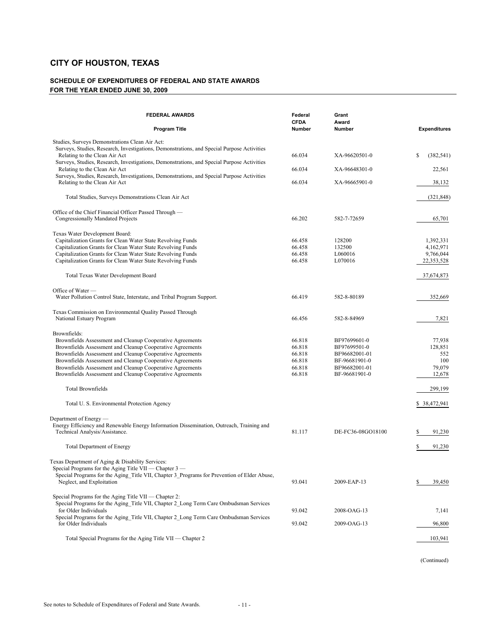#### **SCHEDULE OF EXPENDITURES OF FEDERAL AND STATE AWARDS FOR THE YEAR ENDED JUNE 30, 2009**

| <b>FEDERAL AWARDS</b>                                                                                                                                                                                                                                                                                                                                                                      | Federal<br><b>CFDA</b>                                   | Grant<br>Award                                                                                   |                                                                 |
|--------------------------------------------------------------------------------------------------------------------------------------------------------------------------------------------------------------------------------------------------------------------------------------------------------------------------------------------------------------------------------------------|----------------------------------------------------------|--------------------------------------------------------------------------------------------------|-----------------------------------------------------------------|
| <b>Program Title</b>                                                                                                                                                                                                                                                                                                                                                                       | <b>Number</b>                                            | <b>Number</b>                                                                                    | <b>Expenditures</b>                                             |
| Studies, Surveys Demonstrations Clean Air Act:<br>Surveys, Studies, Research, Investigations, Demonstrations, and Special Purpose Activities<br>Relating to the Clean Air Act                                                                                                                                                                                                              | 66.034                                                   | XA-96620501-0                                                                                    | \$<br>(382, 541)                                                |
| Surveys, Studies, Research, Investigations, Demonstrations, and Special Purpose Activities<br>Relating to the Clean Air Act                                                                                                                                                                                                                                                                | 66.034                                                   | XA-96648301-0                                                                                    | 22,561                                                          |
| Surveys, Studies, Research, Investigations, Demonstrations, and Special Purpose Activities<br>Relating to the Clean Air Act                                                                                                                                                                                                                                                                | 66.034                                                   | XA-96665901-0                                                                                    | 38,132                                                          |
| Total Studies, Surveys Demonstrations Clean Air Act                                                                                                                                                                                                                                                                                                                                        |                                                          |                                                                                                  | (321, 848)                                                      |
| Office of the Chief Financial Officer Passed Through —<br>Congressionally Mandated Projects                                                                                                                                                                                                                                                                                                | 66.202                                                   | 582-7-72659                                                                                      | 65,701                                                          |
| Texas Water Development Board:<br>Capitalization Grants for Clean Water State Revolving Funds<br>Capitalization Grants for Clean Water State Revolving Funds<br>Capitalization Grants for Clean Water State Revolving Funds<br>Capitalization Grants for Clean Water State Revolving Funds<br>Total Texas Water Development Board                                                          | 66.458<br>66.458<br>66.458<br>66.458                     | 128200<br>132500<br>L060016<br>L070016                                                           | 1,392,331<br>4,162,971<br>9,766,044<br>22,353,528<br>37,674,873 |
| Office of Water —                                                                                                                                                                                                                                                                                                                                                                          |                                                          |                                                                                                  |                                                                 |
| Water Pollution Control State, Interstate, and Tribal Program Support.                                                                                                                                                                                                                                                                                                                     | 66.419                                                   | 582-8-80189                                                                                      | 352,669                                                         |
| Texas Commission on Environmental Quality Passed Through<br>National Estuary Program                                                                                                                                                                                                                                                                                                       | 66.456                                                   | 582-8-84969                                                                                      | 7,821                                                           |
| Brownfields:<br>Brownfields Assessment and Cleanup Cooperative Agreements<br>Brownfields Assessment and Cleanup Cooperative Agreements<br>Brownfields Assessment and Cleanup Cooperative Agreements<br>Brownfields Assessment and Cleanup Cooperative Agreements<br>Brownfields Assessment and Cleanup Cooperative Agreements<br>Brownfields Assessment and Cleanup Cooperative Agreements | 66.818<br>66.818<br>66.818<br>66.818<br>66.818<br>66.818 | BF97699601-0<br>BF97699501-0<br>BF96682001-01<br>BF-96681901-0<br>BF96682001-01<br>BF-96681901-0 | 77,938<br>128,851<br>552<br>100<br>79,079<br>12,678             |
| Total Brownfields                                                                                                                                                                                                                                                                                                                                                                          |                                                          |                                                                                                  | 299,199                                                         |
| Total U.S. Environmental Protection Agency                                                                                                                                                                                                                                                                                                                                                 |                                                          |                                                                                                  | \$ 38,472,941                                                   |
| Department of Energy —<br>Energy Efficiency and Renewable Energy Information Dissemination, Outreach, Training and<br>Technical Analysis/Assistance.                                                                                                                                                                                                                                       | 81.117                                                   | DE-FC36-08GO18100                                                                                | \$<br>91,230                                                    |
| <b>Total Department of Energy</b>                                                                                                                                                                                                                                                                                                                                                          |                                                          |                                                                                                  | \$<br>91,230                                                    |
| Texas Department of Aging & Disability Services:<br>Special Programs for the Aging Title VII — Chapter 3 —<br>Special Programs for the Aging Title VII, Chapter 3 Programs for Prevention of Elder Abuse,<br>Neglect, and Exploitation                                                                                                                                                     | 93.041                                                   | 2009-EAP-13                                                                                      | \$<br>39,450                                                    |
| Special Programs for the Aging Title VII — Chapter 2:<br>Special Programs for the Aging Title VII, Chapter 2 Long Term Care Ombudsman Services<br>for Older Individuals                                                                                                                                                                                                                    | 93.042                                                   | 2008-OAG-13                                                                                      | 7,141                                                           |
| Special Programs for the Aging Title VII, Chapter 2 Long Term Care Ombudsman Services<br>for Older Individuals                                                                                                                                                                                                                                                                             | 93.042                                                   | 2009-OAG-13                                                                                      | 96,800                                                          |
| Total Special Programs for the Aging Title VII — Chapter 2                                                                                                                                                                                                                                                                                                                                 |                                                          |                                                                                                  | 103,941                                                         |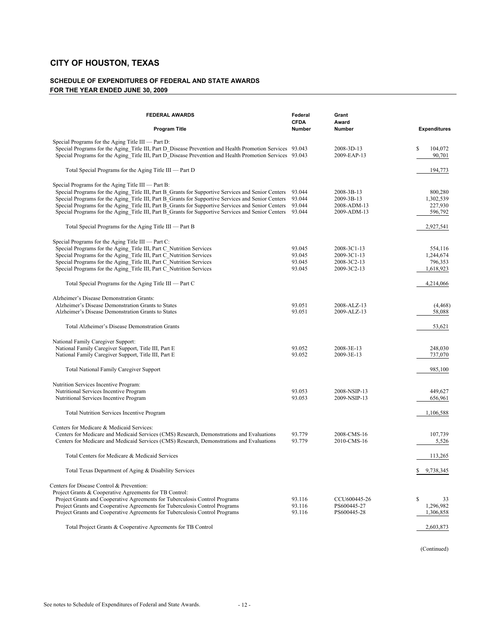#### **SCHEDULE OF EXPENDITURES OF FEDERAL AND STATE AWARDS FOR THE YEAR ENDED JUNE 30, 2009**

| <b>FEDERAL AWARDS</b>                                                                                                                                                                                                                                                                                                                                                                                                                                                      | Federal<br><b>CFDA</b>               | Grant<br>Award                                           |                                              |
|----------------------------------------------------------------------------------------------------------------------------------------------------------------------------------------------------------------------------------------------------------------------------------------------------------------------------------------------------------------------------------------------------------------------------------------------------------------------------|--------------------------------------|----------------------------------------------------------|----------------------------------------------|
| <b>Program Title</b>                                                                                                                                                                                                                                                                                                                                                                                                                                                       | <b>Number</b>                        | <b>Number</b>                                            | <b>Expenditures</b>                          |
| Special Programs for the Aging Title III — Part D:<br>Special Programs for the Aging Title III, Part D Disease Prevention and Health Promotion Services 93.043<br>Special Programs for the Aging Title III, Part D Disease Prevention and Health Promotion Services 93.043                                                                                                                                                                                                 |                                      | 2008-3D-13<br>2009-EAP-13                                | S<br>104,072<br>90,701                       |
| Total Special Programs for the Aging Title III — Part D                                                                                                                                                                                                                                                                                                                                                                                                                    |                                      |                                                          | 194,773                                      |
| Special Programs for the Aging Title III — Part B:<br>Special Programs for the Aging Title III, Part B Grants for Supportive Services and Senior Centers<br>Special Programs for the Aging Title III, Part B Grants for Supportive Services and Senior Centers<br>Special Programs for the Aging Title III, Part B Grants for Supportive Services and Senior Centers<br>Special Programs for the Aging Title III, Part B Grants for Supportive Services and Senior Centers | 93.044<br>93.044<br>93.044<br>93.044 | 2008-3B-13<br>2009-3B-13<br>2008-ADM-13<br>2009-ADM-13   | 800,280<br>1,302,539<br>227,930<br>596,792   |
| Total Special Programs for the Aging Title III — Part B                                                                                                                                                                                                                                                                                                                                                                                                                    |                                      |                                                          | 2,927,541                                    |
| Special Programs for the Aging Title III — Part C:<br>Special Programs for the Aging Title III, Part C Nutrition Services<br>Special Programs for the Aging Title III, Part C Nutrition Services<br>Special Programs for the Aging Title III, Part C Nutrition Services<br>Special Programs for the Aging Title III, Part C Nutrition Services                                                                                                                             | 93.045<br>93.045<br>93.045<br>93.045 | 2008-3C1-13<br>2009-3C1-13<br>2008-3C2-13<br>2009-3C2-13 | 554,116<br>1,244,674<br>796,353<br>1,618,923 |
| Total Special Programs for the Aging Title III — Part C                                                                                                                                                                                                                                                                                                                                                                                                                    |                                      |                                                          | 4,214,066                                    |
| Alzheimer's Disease Demonstration Grants:<br>Alzheimer's Disease Demonstration Grants to States<br>Alzheimer's Disease Demonstration Grants to States                                                                                                                                                                                                                                                                                                                      | 93.051<br>93.051                     | 2008-ALZ-13<br>2009-ALZ-13                               | (4, 468)<br>58,088                           |
| Total Alzheimer's Disease Demonstration Grants                                                                                                                                                                                                                                                                                                                                                                                                                             |                                      |                                                          | 53,621                                       |
| National Family Caregiver Support:<br>National Family Caregiver Support, Title III, Part E<br>National Family Caregiver Support, Title III, Part E<br><b>Total National Family Caregiver Support</b>                                                                                                                                                                                                                                                                       | 93.052<br>93.052                     | 2008-3E-13<br>2009-3E-13                                 | 248,030<br>737,070<br>985,100                |
| Nutrition Services Incentive Program:<br>Nutritional Services Incentive Program<br>Nutritional Services Incentive Program                                                                                                                                                                                                                                                                                                                                                  | 93.053<br>93.053                     | 2008-NSIP-13<br>2009-NSIP-13                             | 449,627<br>656,961                           |
| Total Nutrition Services Incentive Program                                                                                                                                                                                                                                                                                                                                                                                                                                 |                                      |                                                          | 1,106,588                                    |
| Centers for Medicare & Medicaid Services:<br>Centers for Medicare and Medicaid Services (CMS) Research, Demonstrations and Evaluations<br>Centers for Medicare and Medicaid Services (CMS) Research, Demonstrations and Evaluations                                                                                                                                                                                                                                        | 93.779<br>93.779                     | 2008-CMS-16<br>2010-CMS-16                               | 107,739<br>5,526                             |
| Total Centers for Medicare & Medicaid Services                                                                                                                                                                                                                                                                                                                                                                                                                             |                                      |                                                          | 113,265                                      |
| Total Texas Department of Aging & Disability Services                                                                                                                                                                                                                                                                                                                                                                                                                      |                                      |                                                          | \$<br>9,738,345                              |
| Centers for Disease Control & Prevention:<br>Project Grants & Cooperative Agreements for TB Control:<br>Project Grants and Cooperative Agreements for Tuberculosis Control Programs<br>Project Grants and Cooperative Agreements for Tuberculosis Control Programs<br>Project Grants and Cooperative Agreements for Tuberculosis Control Programs                                                                                                                          | 93.116<br>93.116<br>93.116           | CCU600445-26<br>PS600445-27<br>PS600445-28               | \$<br>33<br>1.296.982<br>1,306,858           |
| Total Project Grants & Cooperative Agreements for TB Control                                                                                                                                                                                                                                                                                                                                                                                                               |                                      |                                                          | 2,603,873                                    |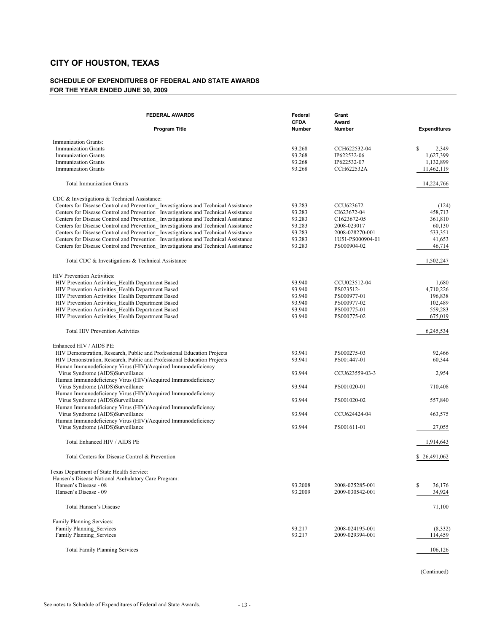#### **SCHEDULE OF EXPENDITURES OF FEDERAL AND STATE AWARDS FOR THE YEAR ENDED JUNE 30, 2009**

| <b>FEDERAL AWARDS</b>                                                                                                                                                                                                                                                                                                                                                                                                                                                                                                                                                                                                                                                                                                                                                                                                                                                                                                                                                                                                                                                                          | Federal<br><b>CFDA</b>                                                                                                         | Grant<br>Award                                                                                                                                                                                                    |                                                                                                                                                     |
|------------------------------------------------------------------------------------------------------------------------------------------------------------------------------------------------------------------------------------------------------------------------------------------------------------------------------------------------------------------------------------------------------------------------------------------------------------------------------------------------------------------------------------------------------------------------------------------------------------------------------------------------------------------------------------------------------------------------------------------------------------------------------------------------------------------------------------------------------------------------------------------------------------------------------------------------------------------------------------------------------------------------------------------------------------------------------------------------|--------------------------------------------------------------------------------------------------------------------------------|-------------------------------------------------------------------------------------------------------------------------------------------------------------------------------------------------------------------|-----------------------------------------------------------------------------------------------------------------------------------------------------|
| <b>Program Title</b>                                                                                                                                                                                                                                                                                                                                                                                                                                                                                                                                                                                                                                                                                                                                                                                                                                                                                                                                                                                                                                                                           | Number                                                                                                                         | Number                                                                                                                                                                                                            | <b>Expenditures</b>                                                                                                                                 |
| Immunization Grants:<br><b>Immunization Grants</b><br><b>Immunization Grants</b><br><b>Immunization Grants</b><br><b>Immunization Grants</b>                                                                                                                                                                                                                                                                                                                                                                                                                                                                                                                                                                                                                                                                                                                                                                                                                                                                                                                                                   | 93.268<br>93.268<br>93.268<br>93.268                                                                                           | CCH622532-04<br>IP622532-06<br>IP622532-07<br>CCH622532A                                                                                                                                                          | <sup>\$</sup><br>2,349<br>1,627,399<br>1,132,899<br>11,462,119                                                                                      |
| <b>Total Immunization Grants</b>                                                                                                                                                                                                                                                                                                                                                                                                                                                                                                                                                                                                                                                                                                                                                                                                                                                                                                                                                                                                                                                               |                                                                                                                                |                                                                                                                                                                                                                   | 14,224,766                                                                                                                                          |
| CDC & Investigations & Technical Assistance:<br>Centers for Disease Control and Prevention Investigations and Technical Assistance<br>Centers for Disease Control and Prevention Investigations and Technical Assistance<br>Centers for Disease Control and Prevention Investigations and Technical Assistance<br>Centers for Disease Control and Prevention Investigations and Technical Assistance<br>Centers for Disease Control and Prevention Investigations and Technical Assistance<br>Centers for Disease Control and Prevention Investigations and Technical Assistance<br>Centers for Disease Control and Prevention Investigations and Technical Assistance<br>Total CDC & Investigations & Technical Assistance<br><b>HIV Prevention Activities:</b><br>HIV Prevention Activities Health Department Based<br>HIV Prevention Activities Health Department Based<br>HIV Prevention Activities Health Department Based<br>HIV Prevention Activities Health Department Based<br>HIV Prevention Activities Health Department Based<br>HIV Prevention Activities Health Department Based | 93.283<br>93.283<br>93.283<br>93.283<br>93.283<br>93.283<br>93.283<br>93.940<br>93.940<br>93.940<br>93.940<br>93.940<br>93.940 | CCU623672<br>CI623672-04<br>C <sub>1623672-05</sub><br>2008-023017<br>2008-028270-001<br>1U51-PS000904-01<br>PS000904-02<br>CCU023512-04<br>PS023512-<br>PS000977-01<br>PS000977-02<br>PS000775-01<br>PS000775-02 | (124)<br>458,713<br>361,810<br>60,130<br>533,351<br>41,653<br>46,714<br>1,502,247<br>1,680<br>4,710,226<br>196,838<br>102,489<br>559,283<br>675,019 |
| <b>Total HIV Prevention Activities</b>                                                                                                                                                                                                                                                                                                                                                                                                                                                                                                                                                                                                                                                                                                                                                                                                                                                                                                                                                                                                                                                         |                                                                                                                                |                                                                                                                                                                                                                   | 6,245,534                                                                                                                                           |
| Enhanced HIV / AIDS PE:<br>HIV Demonstration, Research, Public and Professional Education Projects<br>HIV Demonstration, Research, Public and Professional Education Projects<br>Human Immunodeficiency Virus (HIV)/Acquired Immunodeficiency                                                                                                                                                                                                                                                                                                                                                                                                                                                                                                                                                                                                                                                                                                                                                                                                                                                  | 93.941<br>93.941                                                                                                               | PS000275-03<br>PS001447-01                                                                                                                                                                                        | 92,466<br>60,344                                                                                                                                    |
| Virus Syndrome (AIDS)Surveillance<br>Human Immunodeficiency Virus (HIV)/Acquired Immunodeficiency                                                                                                                                                                                                                                                                                                                                                                                                                                                                                                                                                                                                                                                                                                                                                                                                                                                                                                                                                                                              | 93.944                                                                                                                         | CCU623559-03-3                                                                                                                                                                                                    | 2,954                                                                                                                                               |
| Virus Syndrome (AIDS)Surveillance<br>Human Immunodeficiency Virus (HIV)/Acquired Immunodeficiency                                                                                                                                                                                                                                                                                                                                                                                                                                                                                                                                                                                                                                                                                                                                                                                                                                                                                                                                                                                              | 93.944                                                                                                                         | PS001020-01                                                                                                                                                                                                       | 710,408                                                                                                                                             |
| Virus Syndrome (AIDS)Surveillance<br>Human Immunodeficiency Virus (HIV)/Acquired Immunodeficiency                                                                                                                                                                                                                                                                                                                                                                                                                                                                                                                                                                                                                                                                                                                                                                                                                                                                                                                                                                                              | 93.944                                                                                                                         | PS001020-02                                                                                                                                                                                                       | 557,840                                                                                                                                             |
| Virus Syndrome (AIDS)Surveillance<br>Human Immunodeficiency Virus (HIV)/Acquired Immunodeficiency                                                                                                                                                                                                                                                                                                                                                                                                                                                                                                                                                                                                                                                                                                                                                                                                                                                                                                                                                                                              | 93.944                                                                                                                         | CCU624424-04                                                                                                                                                                                                      | 463,575                                                                                                                                             |
| Virus Syndrome (AIDS)Surveillance                                                                                                                                                                                                                                                                                                                                                                                                                                                                                                                                                                                                                                                                                                                                                                                                                                                                                                                                                                                                                                                              | 93.944                                                                                                                         | PS001611-01                                                                                                                                                                                                       | 27,055                                                                                                                                              |
| Total Enhanced HIV / AIDS PE                                                                                                                                                                                                                                                                                                                                                                                                                                                                                                                                                                                                                                                                                                                                                                                                                                                                                                                                                                                                                                                                   |                                                                                                                                |                                                                                                                                                                                                                   | 1,914,643                                                                                                                                           |
| Total Centers for Disease Control & Prevention                                                                                                                                                                                                                                                                                                                                                                                                                                                                                                                                                                                                                                                                                                                                                                                                                                                                                                                                                                                                                                                 |                                                                                                                                |                                                                                                                                                                                                                   | \$26,491,062                                                                                                                                        |
| Texas Department of State Health Service:<br>Hansen's Disease National Ambulatory Care Program:<br>Hansen's Disease - 08<br>Hansen's Disease - 09                                                                                                                                                                                                                                                                                                                                                                                                                                                                                                                                                                                                                                                                                                                                                                                                                                                                                                                                              | 93.2008<br>93.2009                                                                                                             | 2008-025285-001<br>2009-030542-001                                                                                                                                                                                | \$<br>36,176<br>34,924                                                                                                                              |
| Total Hansen's Disease                                                                                                                                                                                                                                                                                                                                                                                                                                                                                                                                                                                                                                                                                                                                                                                                                                                                                                                                                                                                                                                                         |                                                                                                                                |                                                                                                                                                                                                                   | 71,100                                                                                                                                              |
| Family Planning Services:<br>Family Planning Services<br>Family Planning Services                                                                                                                                                                                                                                                                                                                                                                                                                                                                                                                                                                                                                                                                                                                                                                                                                                                                                                                                                                                                              | 93.217<br>93.217                                                                                                               | 2008-024195-001<br>2009-029394-001                                                                                                                                                                                | (8,332)<br>114,459                                                                                                                                  |
| <b>Total Family Planning Services</b>                                                                                                                                                                                                                                                                                                                                                                                                                                                                                                                                                                                                                                                                                                                                                                                                                                                                                                                                                                                                                                                          |                                                                                                                                |                                                                                                                                                                                                                   | 106,126                                                                                                                                             |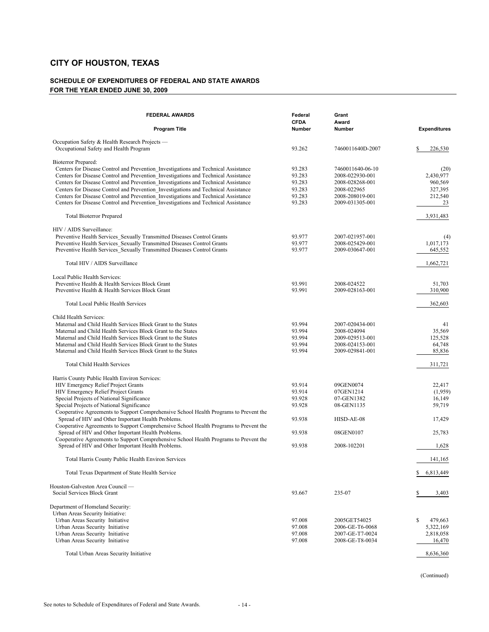#### **SCHEDULE OF EXPENDITURES OF FEDERAL AND STATE AWARDS FOR THE YEAR ENDED JUNE 30, 2009**

| <b>FEDERAL AWARDS</b><br>Program Title                                                                                                      | Federal<br><b>CFDA</b><br><b>Number</b> | Grant<br>Award<br><b>Number</b> | <b>Expenditures</b> |
|---------------------------------------------------------------------------------------------------------------------------------------------|-----------------------------------------|---------------------------------|---------------------|
|                                                                                                                                             |                                         |                                 |                     |
| Occupation Safety & Health Research Projects —<br>Occupational Safety and Health Program                                                    | 93.262                                  | 7460011640D-2007                | \$<br>226,530       |
| Bioterror Prepared:                                                                                                                         |                                         |                                 |                     |
| Centers for Disease Control and Prevention Investigations and Technical Assistance                                                          | 93.283                                  | 7460011640-06-10                | (20)                |
| Centers for Disease Control and Prevention_Investigations and Technical Assistance                                                          | 93.283                                  | 2008-022930-001                 | 2,430,977           |
| Centers for Disease Control and Prevention Investigations and Technical Assistance                                                          | 93.283                                  | 2008-028268-001                 | 960,569             |
| Centers for Disease Control and Prevention Investigations and Technical Assistance                                                          | 93.283                                  | 2008-022965                     | 327,395             |
| Centers for Disease Control and Prevention Investigations and Technical Assistance                                                          | 93.283                                  | 2008-208019-001                 | 212,540             |
| Centers for Disease Control and Prevention Investigations and Technical Assistance                                                          | 93.283                                  | 2009-031305-001                 | 23                  |
| <b>Total Bioterror Prepared</b>                                                                                                             |                                         |                                 | 3,931,483           |
| HIV / AIDS Surveillance:                                                                                                                    |                                         |                                 |                     |
| Preventive Health Services Sexually Transmitted Diseases Control Grants                                                                     | 93.977                                  | 2007-021957-001                 | (4)                 |
| Preventive Health Services Sexually Transmitted Diseases Control Grants                                                                     | 93.977                                  | 2008-025429-001                 | 1,017,173           |
| Preventive Health Services Sexually Transmitted Diseases Control Grants                                                                     | 93.977                                  | 2009-030647-001                 | 645,552             |
| Total HIV / AIDS Surveillance                                                                                                               |                                         |                                 | 1,662,721           |
| Local Public Health Services:                                                                                                               |                                         |                                 |                     |
| Preventive Health & Health Services Block Grant                                                                                             | 93.991                                  | 2008-024522                     | 51,703              |
| Preventive Health & Health Services Block Grant                                                                                             | 93.991                                  | 2009-028163-001                 | 310,900             |
| <b>Total Local Public Health Services</b>                                                                                                   |                                         |                                 | 362,603             |
| Child Health Services:                                                                                                                      |                                         |                                 |                     |
| Maternal and Child Health Services Block Grant to the States                                                                                | 93.994                                  | 2007-020434-001                 | 41                  |
| Maternal and Child Health Services Block Grant to the States                                                                                | 93.994                                  | 2008-024094                     | 35,569              |
| Maternal and Child Health Services Block Grant to the States                                                                                | 93.994                                  | 2009-029513-001                 | 125,528             |
| Maternal and Child Health Services Block Grant to the States                                                                                | 93.994                                  | 2008-024153-001                 | 64,748              |
| Maternal and Child Health Services Block Grant to the States                                                                                | 93.994                                  | 2009-029841-001                 | 85,836              |
| <b>Total Child Health Services</b>                                                                                                          |                                         |                                 | 311,721             |
| Harris County Public Health Environ Services:                                                                                               |                                         |                                 |                     |
| HIV Emergency Relief Project Grants                                                                                                         | 93.914                                  | 09GEN0074                       | 22,417              |
| HIV Emergency Relief Project Grants                                                                                                         | 93.914                                  | 07GEN1214                       | (1,959)             |
| Special Projects of National Significance                                                                                                   | 93.928                                  | 07-GEN1382                      | 16,149              |
| Special Projects of National Significance                                                                                                   | 93.928                                  | 08-GEN1135                      | 59,719              |
| Cooperative Agreements to Support Comprehensive School Health Programs to Prevent the                                                       |                                         |                                 |                     |
| Spread of HIV and Other Important Health Problems.                                                                                          | 93.938                                  | HISD-AE-08                      | 17,429              |
| Cooperative Agreements to Support Comprehensive School Health Programs to Prevent the                                                       |                                         |                                 |                     |
| Spread of HIV and Other Important Health Problems.<br>Cooperative Agreements to Support Comprehensive School Health Programs to Prevent the | 93.938                                  | 08GEN0107                       | 25,783              |
| Spread of HIV and Other Important Health Problems.                                                                                          | 93.938                                  | 2008-102201                     | 1,628               |
| Total Harris County Public Health Environ Services                                                                                          |                                         |                                 | 141,165             |
| Total Texas Department of State Health Service                                                                                              |                                         |                                 | \$<br>6,813,449     |
|                                                                                                                                             |                                         |                                 |                     |
| Houston-Galveston Area Council -                                                                                                            |                                         |                                 |                     |
| Social Services Block Grant                                                                                                                 | 93.667                                  | 235-07                          | \$<br>3,403         |
| Department of Homeland Security:                                                                                                            |                                         |                                 |                     |
| Urban Areas Security Initiative:                                                                                                            |                                         |                                 |                     |
| Urban Areas Security Initiative                                                                                                             | 97.008                                  | 2005GET54025                    | \$<br>479,663       |
| Urban Areas Security Initiative                                                                                                             | 97.008                                  | 2006-GE-T6-0068                 | 5,322,169           |
| Urban Areas Security Initiative                                                                                                             | 97.008                                  | 2007-GE-T7-0024                 | 2,818,058           |
| Urban Areas Security Initiative                                                                                                             | 97.008                                  | 2008-GE-T8-0034                 | 16,470              |
| Total Urban Areas Security Initiative                                                                                                       |                                         |                                 | 8,636,360           |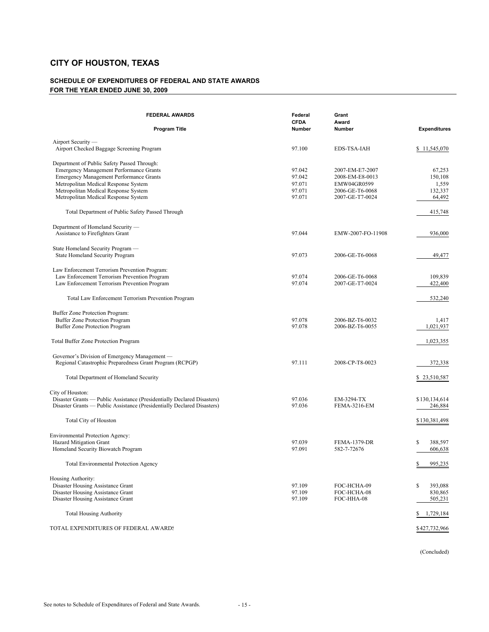#### **SCHEDULE OF EXPENDITURES OF FEDERAL AND STATE AWARDS FOR THE YEAR ENDED JUNE 30, 2009**

| <b>FEDERAL AWARDS</b>                                                   | Federal<br><b>CFDA</b> | Grant<br>Award                     |                     |
|-------------------------------------------------------------------------|------------------------|------------------------------------|---------------------|
| <b>Program Title</b>                                                    | Number                 | Number                             | <b>Expenditures</b> |
| Airport Security —<br>Airport Checked Baggage Screening Program         | 97.100                 | <b>EDS-TSA-IAH</b>                 | \$11,545,070        |
|                                                                         |                        |                                    |                     |
| Department of Public Safety Passed Through:                             |                        |                                    |                     |
| <b>Emergency Management Performance Grants</b>                          | 97.042                 | 2007-EM-E7-2007                    | 67,253              |
| <b>Emergency Management Performance Grants</b>                          | 97.042                 | 2008-EM-E8-0013                    | 150,108             |
| Metropolitan Medical Response System                                    | 97.071                 | EMW04GR0599                        | 1,559               |
| Metropolitan Medical Response System                                    | 97.071<br>97.071       | 2006-GE-T6-0068<br>2007-GE-T7-0024 | 132,337             |
| Metropolitan Medical Response System                                    |                        |                                    | 64,492              |
| Total Department of Public Safety Passed Through                        |                        |                                    | 415,748             |
| Department of Homeland Security —                                       |                        |                                    |                     |
| Assistance to Firefighters Grant                                        | 97.044                 | EMW-2007-FO-11908                  | 936,000             |
|                                                                         |                        |                                    |                     |
| State Homeland Security Program —<br>State Homeland Security Program    | 97.073                 | 2006-GE-T6-0068                    | 49,477              |
|                                                                         |                        |                                    |                     |
| Law Enforcement Terrorism Prevention Program:                           |                        |                                    |                     |
| Law Enforcement Terrorism Prevention Program                            | 97.074                 | 2006-GE-T6-0068                    | 109,839             |
| Law Enforcement Terrorism Prevention Program                            | 97.074                 | 2007-GE-T7-0024                    | 422,400             |
| Total Law Enforcement Terrorism Prevention Program                      |                        |                                    | 532,240             |
|                                                                         |                        |                                    |                     |
| Buffer Zone Protection Program:                                         | 97.078                 | 2006-BZ-T6-0032                    |                     |
| Buffer Zone Protection Program<br><b>Buffer Zone Protection Program</b> | 97.078                 | 2006-BZ-T6-0055                    | 1,417<br>1,021,937  |
|                                                                         |                        |                                    |                     |
| Total Buffer Zone Protection Program                                    |                        |                                    | 1,023,355           |
| Governor's Division of Emergency Management —                           |                        |                                    |                     |
| Regional Catastrophic Preparedness Grant Program (RCPGP)                | 97.111                 | 2008-CP-T8-0023                    | 372,338             |
| Total Department of Homeland Security                                   |                        |                                    | \$23,510,587        |
| City of Houston:                                                        |                        |                                    |                     |
| Disaster Grants — Public Assistance (Presidentially Declared Disasters) | 97.036                 | EM-3294-TX                         | \$130,134,614       |
| Disaster Grants — Public Assistance (Presidentially Declared Disasters) | 97.036                 | <b>FEMA-3216-EM</b>                | 246,884             |
|                                                                         |                        |                                    |                     |
| <b>Total City of Houston</b>                                            |                        |                                    | \$130,381,498       |
| Environmental Protection Agency:                                        |                        |                                    |                     |
| Hazard Mitigation Grant                                                 | 97.039                 | <b>FEMA-1379-DR</b>                | \$<br>388,597       |
| Homeland Security Biowatch Program                                      | 97.091                 | 582-7-72676                        | 606,638             |
| Total Environmental Protection Agency                                   |                        |                                    | 995,235<br>\$       |
| Housing Authority:                                                      |                        |                                    |                     |
| Disaster Housing Assistance Grant                                       | 97.109                 | FOC-HCHA-09                        | \$<br>393,088       |
| Disaster Housing Assistance Grant                                       | 97.109                 | FOC-HCHA-08                        | 830,865             |
| Disaster Housing Assistance Grant                                       | 97.109                 | FOC-HHA-08                         | 505,231             |
|                                                                         |                        |                                    |                     |
| <b>Total Housing Authority</b>                                          |                        |                                    | 1,729,184<br>\$     |
| TOTAL EXPENDITURES OF FEDERAL AWARDS                                    |                        |                                    | \$427,732,966       |

(Concluded)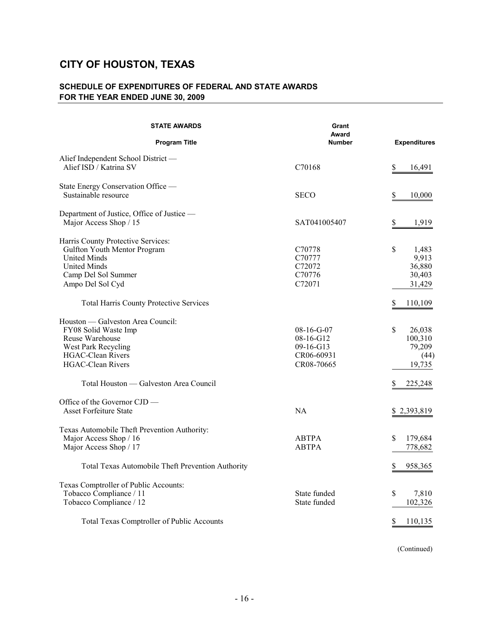### **SCHEDULE OF EXPENDITURES OF FEDERAL AND STATE AWARDS FOR THE YEAR ENDED JUNE 30, 2009**

| <b>STATE AWARDS</b>                                                                                                                                                                                   | Grant<br>Award                                                       |                                                                     |
|-------------------------------------------------------------------------------------------------------------------------------------------------------------------------------------------------------|----------------------------------------------------------------------|---------------------------------------------------------------------|
| <b>Program Title</b>                                                                                                                                                                                  | <b>Number</b>                                                        | <b>Expenditures</b>                                                 |
| Alief Independent School District-<br>Alief ISD / Katrina SV                                                                                                                                          | C70168                                                               | \$<br>16,491                                                        |
| State Energy Conservation Office -<br>Sustainable resource                                                                                                                                            | <b>SECO</b>                                                          | \$<br>10,000                                                        |
| Department of Justice, Office of Justice —<br>Major Access Shop / 15                                                                                                                                  | SAT041005407                                                         | \$<br>1,919                                                         |
| Harris County Protective Services:<br>Gulfton Youth Mentor Program<br><b>United Minds</b><br><b>United Minds</b><br>Camp Del Sol Summer<br>Ampo Del Sol Cyd                                           | C70778<br>C70777<br>C72072<br>C70776<br>C72071                       | \$<br>1,483<br>9,913<br>36,880<br>30,403<br>31,429                  |
| <b>Total Harris County Protective Services</b>                                                                                                                                                        |                                                                      | \$<br>110,109                                                       |
| Houston — Galveston Area Council:<br>FY08 Solid Waste Imp<br>Reuse Warehouse<br>West Park Recycling<br><b>HGAC-Clean Rivers</b><br><b>HGAC-Clean Rivers</b><br>Total Houston — Galveston Area Council | $08-16-G-07$<br>08-16-G12<br>$09-16-G13$<br>CR06-60931<br>CR08-70665 | \$<br>26,038<br>100,310<br>79,209<br>(44)<br>19,735<br>225,248<br>S |
| Office of the Governor CJD -<br><b>Asset Forfeiture State</b>                                                                                                                                         | <b>NA</b>                                                            | \$2,393,819                                                         |
| Texas Automobile Theft Prevention Authority:<br>Major Access Shop / 16<br>Major Access Shop / 17                                                                                                      | <b>ABTPA</b><br><b>ABTPA</b>                                         | \$<br>179,684<br>778,682                                            |
| Total Texas Automobile Theft Prevention Authority                                                                                                                                                     |                                                                      | \$<br>958,365                                                       |
| Texas Comptroller of Public Accounts:<br>Tobacco Compliance / 11<br>Tobacco Compliance / 12                                                                                                           | State funded<br>State funded                                         | \$<br>7,810<br>102,326                                              |
| Total Texas Comptroller of Public Accounts                                                                                                                                                            |                                                                      | \$<br>110,135                                                       |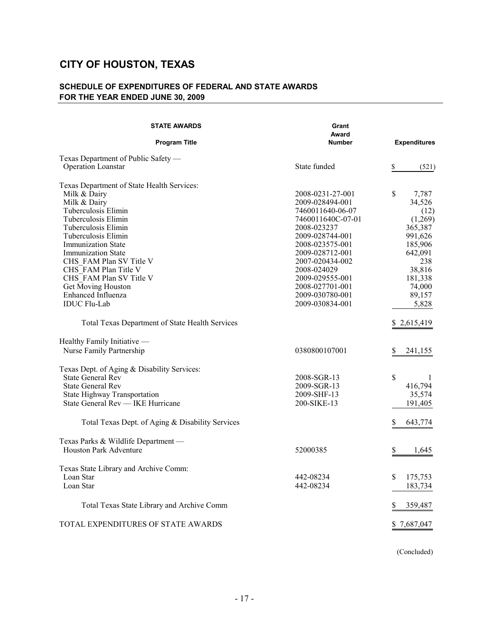### **SCHEDULE OF EXPENDITURES OF FEDERAL AND STATE AWARDS FOR THE YEAR ENDED JUNE 30, 2009**

| <b>STATE AWARDS</b>                              | Grant<br>Award    |                     |
|--------------------------------------------------|-------------------|---------------------|
| <b>Program Title</b>                             | <b>Number</b>     | <b>Expenditures</b> |
| Texas Department of Public Safety —              |                   |                     |
| Operation Loanstar                               | State funded      | \$<br>(521)         |
| Texas Department of State Health Services:       |                   |                     |
| Milk & Dairy                                     | 2008-0231-27-001  | \$<br>7,787         |
| Milk & Dairy                                     | 2009-028494-001   | 34,526              |
| Tuberculosis Elimin                              | 7460011640-06-07  | (12)                |
| Tuberculosis Elimin                              | 7460011640C-07-01 | (1,269)             |
| Tuberculosis Elimin                              | 2008-023237       | 365,387             |
| Tuberculosis Elimin                              | 2009-028744-001   | 991,626             |
| <b>Immunization State</b>                        | 2008-023575-001   | 185,906             |
| <b>Immunization State</b>                        | 2009-028712-001   | 642,091             |
| CHS FAM Plan SV Title V                          | 2007-020434-002   | 238                 |
| CHS FAM Plan Title V                             | 2008-024029       | 38,816              |
| CHS FAM Plan SV Title V                          | 2009-029555-001   | 181,338             |
| Get Moving Houston                               | 2008-027701-001   | 74,000              |
| Enhanced Influenza                               | 2009-030780-001   | 89,157              |
| <b>IDUC</b> Flu-Lab                              |                   |                     |
|                                                  | 2009-030834-001   | 5,828               |
| Total Texas Department of State Health Services  |                   | \$2,615,419         |
| Healthy Family Initiative -                      |                   |                     |
| Nurse Family Partnership                         | 0380800107001     | S<br>241,155        |
| Texas Dept. of Aging & Disability Services:      |                   |                     |
| State General Rev                                | 2008-SGR-13       | \$<br>1             |
| <b>State General Rev</b>                         | 2009-SGR-13       | 416,794             |
| State Highway Transportation                     | 2009-SHF-13       | 35,574              |
| State General Rev — IKE Hurricane                | 200-SIKE-13       | 191,405             |
|                                                  |                   |                     |
| Total Texas Dept. of Aging & Disability Services |                   | \$<br>643,774       |
| Texas Parks & Wildlife Department -              |                   |                     |
| <b>Houston Park Adventure</b>                    | 52000385          | \$<br>1,645         |
|                                                  |                   |                     |
| Texas State Library and Archive Comm:            |                   |                     |
| Loan Star                                        | 442-08234         | \$<br>175,753       |
| Loan Star                                        | 442-08234         | 183,734             |
| Total Texas State Library and Archive Comm       |                   | S<br>359,487        |
|                                                  |                   |                     |
| TOTAL EXPENDITURES OF STATE AWARDS               |                   | \$7,687,047         |

(Concluded)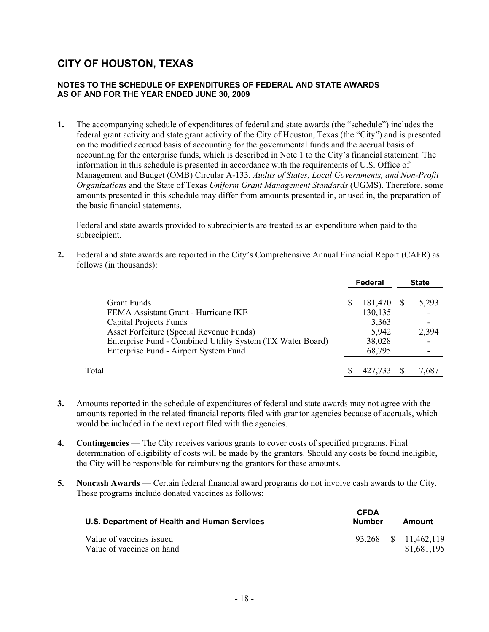#### **NOTES TO THE SCHEDULE OF EXPENDITURES OF FEDERAL AND STATE AWARDS AS OF AND FOR THE YEAR ENDED JUNE 30, 2009**

**1.** The accompanying schedule of expenditures of federal and state awards (the "schedule") includes the federal grant activity and state grant activity of the City of Houston, Texas (the "City") and is presented on the modified accrued basis of accounting for the governmental funds and the accrual basis of accounting for the enterprise funds, which is described in Note 1 to the City's financial statement. The information in this schedule is presented in accordance with the requirements of U.S. Office of Management and Budget (OMB) Circular A-133, *Audits of States, Local Governments, and Non-Profit Organizations* and the State of Texas *Uniform Grant Management Standards* (UGMS). Therefore, some amounts presented in this schedule may differ from amounts presented in, or used in, the preparation of the basic financial statements.

Federal and state awards provided to subrecipients are treated as an expenditure when paid to the subrecipient.

**2.** Federal and state awards are reported in the City's Comprehensive Annual Financial Report (CAFR) as follows (in thousands):

|                                                            | Federal |    | <b>State</b> |
|------------------------------------------------------------|---------|----|--------------|
| <b>Grant Funds</b>                                         | 181,470 | -S | 5,293        |
| FEMA Assistant Grant - Hurricane IKE                       | 130,135 |    |              |
| Capital Projects Funds                                     | 3,363   |    | -            |
| Asset Forfeiture (Special Revenue Funds)                   | 5,942   |    | 2,394        |
| Enterprise Fund - Combined Utility System (TX Water Board) | 38,028  |    |              |
| Enterprise Fund - Airport System Fund                      | 68,795  |    |              |
| Total                                                      | 427.733 |    | 7,687        |

- **3.** Amounts reported in the schedule of expenditures of federal and state awards may not agree with the amounts reported in the related financial reports filed with grantor agencies because of accruals, which would be included in the next report filed with the agencies.
- **4. Contingencies** The City receives various grants to cover costs of specified programs. Final determination of eligibility of costs will be made by the grantors. Should any costs be found ineligible, the City will be responsible for reimbursing the grantors for these amounts.
- **5. Noncash Awards** Certain federal financial award programs do not involve cash awards to the City. These programs include donated vaccines as follows:

| U.S. Department of Health and Human Services          | <b>CFDA</b><br>Number | Amount                              |
|-------------------------------------------------------|-----------------------|-------------------------------------|
| Value of vaccines issued<br>Value of vaccines on hand |                       | 93.268 \$ 11,462,119<br>\$1,681,195 |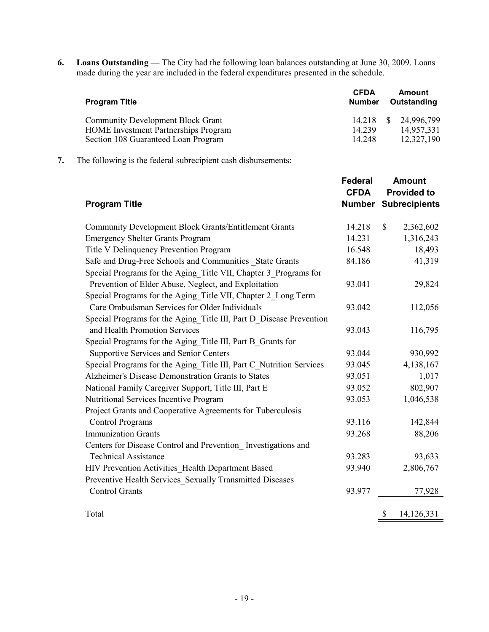**6. Loans Outstanding** — The City had the following loan balances outstanding at June 30, 2009. Loans made during the year are included in the federal expenditures presented in the schedule.

| <b>Program Title</b>                                                                                                           | <b>CFDA</b><br><b>Number</b> | Amount<br>Outstanding                            |
|--------------------------------------------------------------------------------------------------------------------------------|------------------------------|--------------------------------------------------|
| <b>Community Development Block Grant</b><br><b>HOME</b> Investment Partnerships Program<br>Section 108 Guaranteed Loan Program | 14 2 3 9<br>14 248           | 14.218 \$ 24,996,799<br>14,957,331<br>12,327,190 |

**7.** The following is the federal subrecipient cash disbursements:

| <b>Program Title</b>                                                | <b>Federal</b><br><b>CFDA</b><br><b>Number</b> | <b>Amount</b><br><b>Provided to</b><br><b>Subrecipients</b> |
|---------------------------------------------------------------------|------------------------------------------------|-------------------------------------------------------------|
| <b>Community Development Block Grants/Entitlement Grants</b>        | 14.218                                         | $\mathbb{S}$<br>2,362,602                                   |
| <b>Emergency Shelter Grants Program</b>                             | 14.231                                         | 1,316,243                                                   |
| Title V Delinquency Prevention Program                              | 16.548                                         | 18,493                                                      |
| Safe and Drug-Free Schools and Communities State Grants             | 84.186                                         | 41,319                                                      |
| Special Programs for the Aging Title VII, Chapter 3 Programs for    |                                                |                                                             |
| Prevention of Elder Abuse, Neglect, and Exploitation                | 93.041                                         | 29,824                                                      |
| Special Programs for the Aging Title VII, Chapter 2 Long Term       |                                                |                                                             |
| Care Ombudsman Services for Older Individuals                       | 93.042                                         | 112,056                                                     |
| Special Programs for the Aging Title III, Part D Disease Prevention |                                                |                                                             |
| and Health Promotion Services                                       | 93.043                                         | 116,795                                                     |
| Special Programs for the Aging Title III, Part B Grants for         |                                                |                                                             |
| <b>Supportive Services and Senior Centers</b>                       | 93.044                                         | 930,992                                                     |
| Special Programs for the Aging Title III, Part C Nutrition Services | 93.045                                         | 4,138,167                                                   |
| Alzheimer's Disease Demonstration Grants to States                  | 93.051                                         | 1,017                                                       |
| National Family Caregiver Support, Title III, Part E                | 93.052                                         | 802,907                                                     |
| Nutritional Services Incentive Program                              | 93.053                                         | 1,046,538                                                   |
| Project Grants and Cooperative Agreements for Tuberculosis          |                                                |                                                             |
| <b>Control Programs</b>                                             | 93.116                                         | 142,844                                                     |
| <b>Immunization Grants</b>                                          | 93.268                                         | 88,206                                                      |
| Centers for Disease Control and Prevention Investigations and       |                                                |                                                             |
| <b>Technical Assistance</b>                                         | 93.283                                         | 93,633                                                      |
| HIV Prevention Activities Health Department Based                   | 93.940                                         | 2,806,767                                                   |
| Preventive Health Services_Sexually Transmitted Diseases            |                                                |                                                             |
| <b>Control Grants</b>                                               | 93.977                                         | 77,928                                                      |
| Total                                                               |                                                | 14,126,331<br>\$                                            |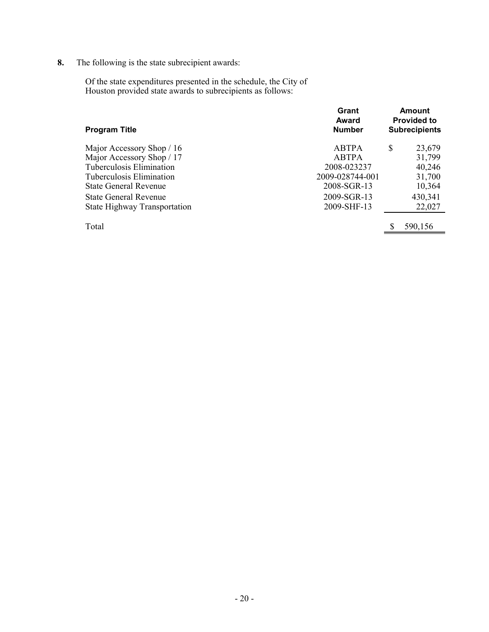**8.** The following is the state subrecipient awards:

Of the state expenditures presented in the schedule, the City of Houston provided state awards to subrecipients as follows:

| <b>Program Title</b>                | Grant<br>Award<br><b>Number</b> |   | <b>Amount</b><br><b>Provided to</b><br><b>Subrecipients</b> |
|-------------------------------------|---------------------------------|---|-------------------------------------------------------------|
| Major Accessory Shop / 16           | <b>ABTPA</b>                    | S | 23,679                                                      |
| Major Accessory Shop / 17           | <b>ABTPA</b>                    |   | 31,799                                                      |
| Tuberculosis Elimination            | 2008-023237                     |   | 40,246                                                      |
| Tuberculosis Elimination            | 2009-028744-001                 |   | 31,700                                                      |
| State General Revenue               | 2008-SGR-13                     |   | 10,364                                                      |
| <b>State General Revenue</b>        | 2009-SGR-13                     |   | 430,341                                                     |
| <b>State Highway Transportation</b> | 2009-SHF-13                     |   | 22,027                                                      |
| Total                               |                                 | S | 590,156                                                     |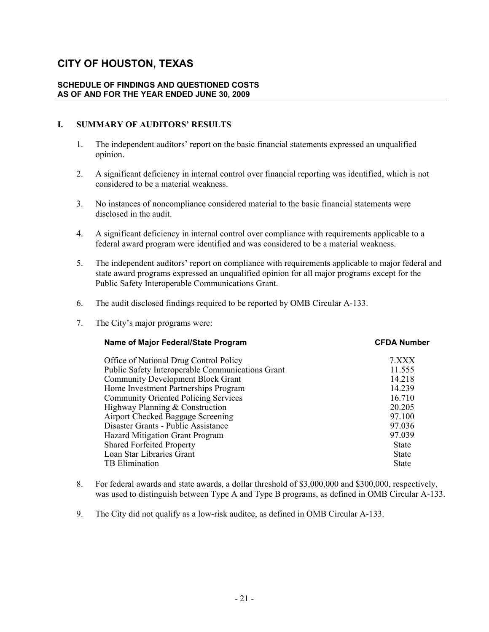#### **SCHEDULE OF FINDINGS AND QUESTIONED COSTS AS OF AND FOR THE YEAR ENDED JUNE 30, 2009**

### **I. SUMMARY OF AUDITORS' RESULTS**

- 1. The independent auditors' report on the basic financial statements expressed an unqualified opinion.
- 2. A significant deficiency in internal control over financial reporting was identified, which is not considered to be a material weakness.
- 3. No instances of noncompliance considered material to the basic financial statements were disclosed in the audit.
- 4. A significant deficiency in internal control over compliance with requirements applicable to a federal award program were identified and was considered to be a material weakness.
- 5. The independent auditors' report on compliance with requirements applicable to major federal and state award programs expressed an unqualified opinion for all major programs except for the Public Safety Interoperable Communications Grant.
- 6. The audit disclosed findings required to be reported by OMB Circular A-133.
- 7. The City's major programs were:

| Name of Major Federal/State Program              | <b>CFDA Number</b> |
|--------------------------------------------------|--------------------|
| Office of National Drug Control Policy           | 7.XXX              |
| Public Safety Interoperable Communications Grant | 11.555             |
| <b>Community Development Block Grant</b>         | 14 218             |
| Home Investment Partnerships Program             | 14.239             |
| <b>Community Oriented Policing Services</b>      | 16.710             |
| Highway Planning & Construction                  | 20.205             |
| Airport Checked Baggage Screening                | 97.100             |
| Disaster Grants - Public Assistance              | 97.036             |
| Hazard Mitigation Grant Program                  | 97.039             |
| <b>Shared Forfeited Property</b>                 | <b>State</b>       |
| Loan Star Libraries Grant                        | <b>State</b>       |
| TB Elimination                                   | <b>State</b>       |
|                                                  |                    |

- 8. For federal awards and state awards, a dollar threshold of \$3,000,000 and \$300,000, respectively, was used to distinguish between Type A and Type B programs, as defined in OMB Circular A-133.
- 9. The City did not qualify as a low-risk auditee, as defined in OMB Circular A-133.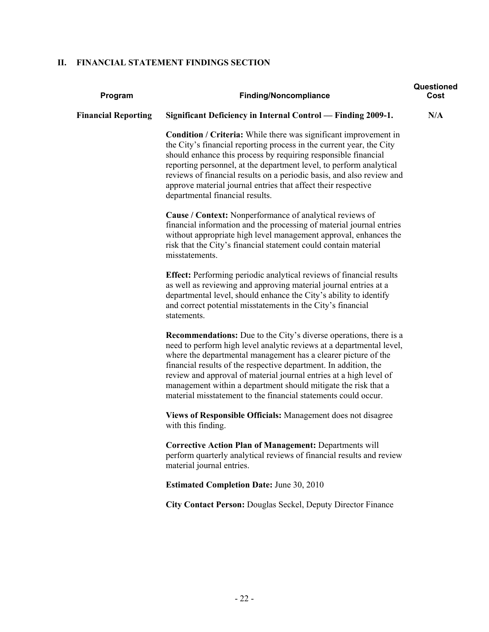### **II. FINANCIAL STATEMENT FINDINGS SECTION**

| Program                    | <b>Finding/Noncompliance</b>                                                                                                                                                                                                                                                                                                                                                                                                                                                                     | Questioned<br>Cost |
|----------------------------|--------------------------------------------------------------------------------------------------------------------------------------------------------------------------------------------------------------------------------------------------------------------------------------------------------------------------------------------------------------------------------------------------------------------------------------------------------------------------------------------------|--------------------|
| <b>Financial Reporting</b> | Significant Deficiency in Internal Control — Finding 2009-1.                                                                                                                                                                                                                                                                                                                                                                                                                                     | N/A                |
|                            | <b>Condition / Criteria:</b> While there was significant improvement in<br>the City's financial reporting process in the current year, the City<br>should enhance this process by requiring responsible financial<br>reporting personnel, at the department level, to perform analytical<br>reviews of financial results on a periodic basis, and also review and<br>approve material journal entries that affect their respective<br>departmental financial results.                            |                    |
|                            | Cause / Context: Nonperformance of analytical reviews of<br>financial information and the processing of material journal entries<br>without appropriate high level management approval, enhances the<br>risk that the City's financial statement could contain material<br>misstatements.                                                                                                                                                                                                        |                    |
|                            | <b>Effect:</b> Performing periodic analytical reviews of financial results<br>as well as reviewing and approving material journal entries at a<br>departmental level, should enhance the City's ability to identify<br>and correct potential misstatements in the City's financial<br>statements.                                                                                                                                                                                                |                    |
|                            | <b>Recommendations:</b> Due to the City's diverse operations, there is a<br>need to perform high level analytic reviews at a departmental level,<br>where the departmental management has a clearer picture of the<br>financial results of the respective department. In addition, the<br>review and approval of material journal entries at a high level of<br>management within a department should mitigate the risk that a<br>material misstatement to the financial statements could occur. |                    |
|                            | Views of Responsible Officials: Management does not disagree<br>with this finding.                                                                                                                                                                                                                                                                                                                                                                                                               |                    |
|                            | <b>Corrective Action Plan of Management: Departments will</b><br>perform quarterly analytical reviews of financial results and review<br>material journal entries.                                                                                                                                                                                                                                                                                                                               |                    |
|                            | <b>Estimated Completion Date: June 30, 2010</b>                                                                                                                                                                                                                                                                                                                                                                                                                                                  |                    |
|                            | <b>City Contact Person: Douglas Seckel, Deputy Director Finance</b>                                                                                                                                                                                                                                                                                                                                                                                                                              |                    |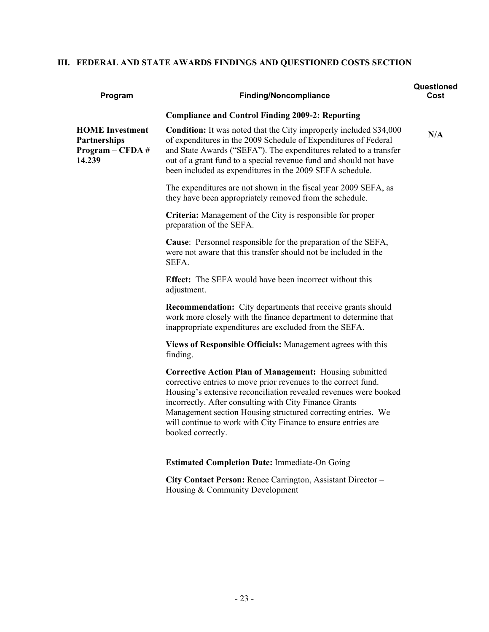### **III. FEDERAL AND STATE AWARDS FINDINGS AND QUESTIONED COSTS SECTION**

| Program                                                                       | <b>Finding/Noncompliance</b>                                                                                                                                                                                                                                                                                                                                                                                         | Questioned<br>Cost |
|-------------------------------------------------------------------------------|----------------------------------------------------------------------------------------------------------------------------------------------------------------------------------------------------------------------------------------------------------------------------------------------------------------------------------------------------------------------------------------------------------------------|--------------------|
|                                                                               | <b>Compliance and Control Finding 2009-2: Reporting</b>                                                                                                                                                                                                                                                                                                                                                              |                    |
| <b>HOME</b> Investment<br><b>Partnerships</b><br>$Program - CFDA #$<br>14.239 | <b>Condition:</b> It was noted that the City improperly included \$34,000<br>of expenditures in the 2009 Schedule of Expenditures of Federal<br>and State Awards ("SEFA"). The expenditures related to a transfer<br>out of a grant fund to a special revenue fund and should not have<br>been included as expenditures in the 2009 SEFA schedule.                                                                   | N/A                |
|                                                                               | The expenditures are not shown in the fiscal year 2009 SEFA, as<br>they have been appropriately removed from the schedule.                                                                                                                                                                                                                                                                                           |                    |
|                                                                               | <b>Criteria:</b> Management of the City is responsible for proper<br>preparation of the SEFA.                                                                                                                                                                                                                                                                                                                        |                    |
|                                                                               | <b>Cause:</b> Personnel responsible for the preparation of the SEFA,<br>were not aware that this transfer should not be included in the<br>SEFA.                                                                                                                                                                                                                                                                     |                    |
|                                                                               | <b>Effect:</b> The SEFA would have been incorrect without this<br>adjustment.                                                                                                                                                                                                                                                                                                                                        |                    |
|                                                                               | <b>Recommendation:</b> City departments that receive grants should<br>work more closely with the finance department to determine that<br>inappropriate expenditures are excluded from the SEFA.                                                                                                                                                                                                                      |                    |
|                                                                               | Views of Responsible Officials: Management agrees with this<br>finding.                                                                                                                                                                                                                                                                                                                                              |                    |
|                                                                               | <b>Corrective Action Plan of Management:</b> Housing submitted<br>corrective entries to move prior revenues to the correct fund.<br>Housing's extensive reconciliation revealed revenues were booked<br>incorrectly. After consulting with City Finance Grants<br>Management section Housing structured correcting entries. We<br>will continue to work with City Finance to ensure entries are<br>booked correctly. |                    |
|                                                                               | <b>Estimated Completion Date: Immediate-On Going</b>                                                                                                                                                                                                                                                                                                                                                                 |                    |
|                                                                               | City Contact Person: Renee Carrington, Assistant Director -<br>Housing & Community Development                                                                                                                                                                                                                                                                                                                       |                    |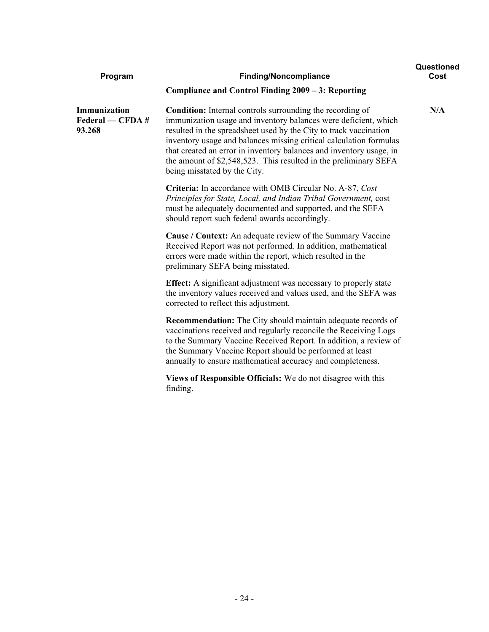| Program                                    | <b>Finding/Noncompliance</b>                                                                                                                                                                                                                                                                                                                                                                                                                              | Questioned<br>Cost |
|--------------------------------------------|-----------------------------------------------------------------------------------------------------------------------------------------------------------------------------------------------------------------------------------------------------------------------------------------------------------------------------------------------------------------------------------------------------------------------------------------------------------|--------------------|
|                                            | Compliance and Control Finding 2009 - 3: Reporting                                                                                                                                                                                                                                                                                                                                                                                                        |                    |
| Immunization<br>Federal — CFDA #<br>93.268 | <b>Condition:</b> Internal controls surrounding the recording of<br>immunization usage and inventory balances were deficient, which<br>resulted in the spreadsheet used by the City to track vaccination<br>inventory usage and balances missing critical calculation formulas<br>that created an error in inventory balances and inventory usage, in<br>the amount of \$2,548,523. This resulted in the preliminary SEFA<br>being misstated by the City. | N/A                |
|                                            | Criteria: In accordance with OMB Circular No. A-87, Cost<br>Principles for State, Local, and Indian Tribal Government, cost<br>must be adequately documented and supported, and the SEFA<br>should report such federal awards accordingly.                                                                                                                                                                                                                |                    |
|                                            | Cause / Context: An adequate review of the Summary Vaccine<br>Received Report was not performed. In addition, mathematical<br>errors were made within the report, which resulted in the<br>preliminary SEFA being misstated.                                                                                                                                                                                                                              |                    |
|                                            | <b>Effect:</b> A significant adjustment was necessary to properly state<br>the inventory values received and values used, and the SEFA was<br>corrected to reflect this adjustment.                                                                                                                                                                                                                                                                       |                    |
|                                            | <b>Recommendation:</b> The City should maintain adequate records of<br>vaccinations received and regularly reconcile the Receiving Logs<br>to the Summary Vaccine Received Report. In addition, a review of<br>the Summary Vaccine Report should be performed at least<br>annually to ensure mathematical accuracy and completeness.                                                                                                                      |                    |
|                                            | Views of Responsible Officials: We do not disagree with this<br>finding.                                                                                                                                                                                                                                                                                                                                                                                  |                    |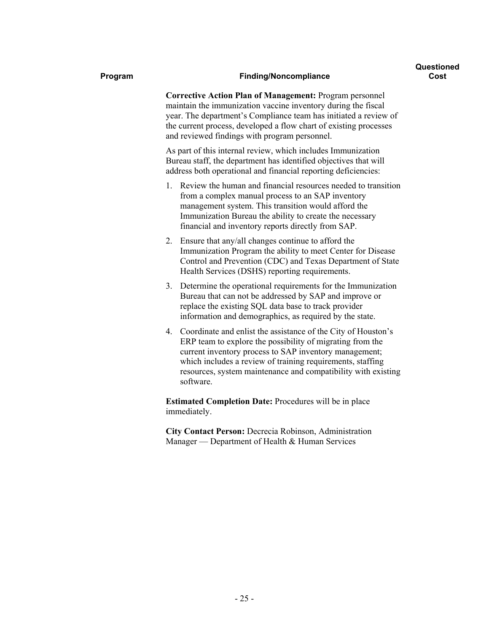#### **Program Finding/Noncompliance**

**Corrective Action Plan of Management:** Program personnel maintain the immunization vaccine inventory during the fiscal year. The department's Compliance team has initiated a review of the current process, developed a flow chart of existing processes and reviewed findings with program personnel.

As part of this internal review, which includes Immunization Bureau staff, the department has identified objectives that will address both operational and financial reporting deficiencies:

- 1. Review the human and financial resources needed to transition from a complex manual process to an SAP inventory management system. This transition would afford the Immunization Bureau the ability to create the necessary financial and inventory reports directly from SAP.
- 2. Ensure that any/all changes continue to afford the Immunization Program the ability to meet Center for Disease Control and Prevention (CDC) and Texas Department of State Health Services (DSHS) reporting requirements.
- 3. Determine the operational requirements for the Immunization Bureau that can not be addressed by SAP and improve or replace the existing SQL data base to track provider information and demographics, as required by the state.
- 4. Coordinate and enlist the assistance of the City of Houston's ERP team to explore the possibility of migrating from the current inventory process to SAP inventory management; which includes a review of training requirements, staffing resources, system maintenance and compatibility with existing software.

**Estimated Completion Date:** Procedures will be in place immediately.

**City Contact Person:** Decrecia Robinson, Administration Manager — Department of Health & Human Services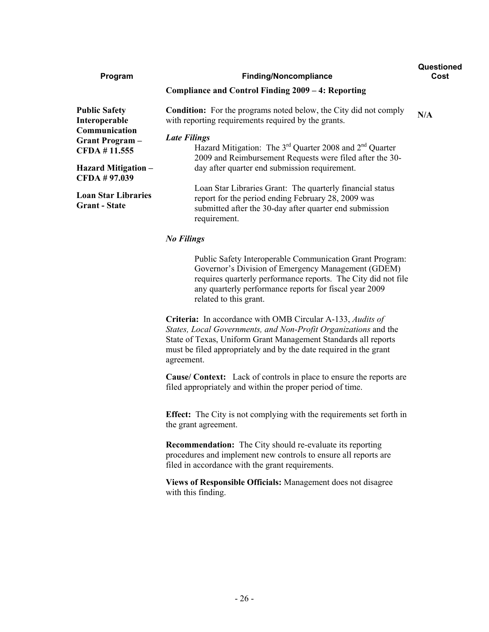| Program                                                 | <b>Finding/Noncompliance</b>                                                                                                                                                               | Questioned<br>Cost |
|---------------------------------------------------------|--------------------------------------------------------------------------------------------------------------------------------------------------------------------------------------------|--------------------|
|                                                         | Compliance and Control Finding 2009 – 4: Reporting                                                                                                                                         |                    |
| <b>Public Safety</b><br>Interoperable                   | <b>Condition:</b> For the programs noted below, the City did not comply<br>with reporting requirements required by the grants.                                                             | N/A                |
| Communication<br><b>Grant Program</b> –<br>CFDA #11.555 | <b>Late Filings</b><br>Hazard Mitigation: The $3^{rd}$ Quarter 2008 and $2^{nd}$ Quarter<br>2009 and Reimbursement Requests were filed after the 30-                                       |                    |
| <b>Hazard Mitigation</b> –<br>CFDA #97.039              | day after quarter end submission requirement.                                                                                                                                              |                    |
| <b>Loan Star Libraries</b><br><b>Grant</b> - State      | Loan Star Libraries Grant: The quarterly financial status<br>report for the period ending February 28, 2009 was<br>submitted after the 30-day after quarter end submission<br>requirement. |                    |
|                                                         | $\cdots$ $\cdots$                                                                                                                                                                          |                    |

### *No Filings*

Public Safety Interoperable Communication Grant Program: Governor's Division of Emergency Management (GDEM) requires quarterly performance reports. The City did not file any quarterly performance reports for fiscal year 2009 related to this grant.

**Criteria:** In accordance with OMB Circular A-133, *Audits of States, Local Governments, and Non-Profit Organizations* and the State of Texas, Uniform Grant Management Standards all reports must be filed appropriately and by the date required in the grant agreement.

**Cause/ Context:** Lack of controls in place to ensure the reports are filed appropriately and within the proper period of time.

**Effect:** The City is not complying with the requirements set forth in the grant agreement.

**Recommendation:** The City should re-evaluate its reporting procedures and implement new controls to ensure all reports are filed in accordance with the grant requirements.

**Views of Responsible Officials:** Management does not disagree with this finding.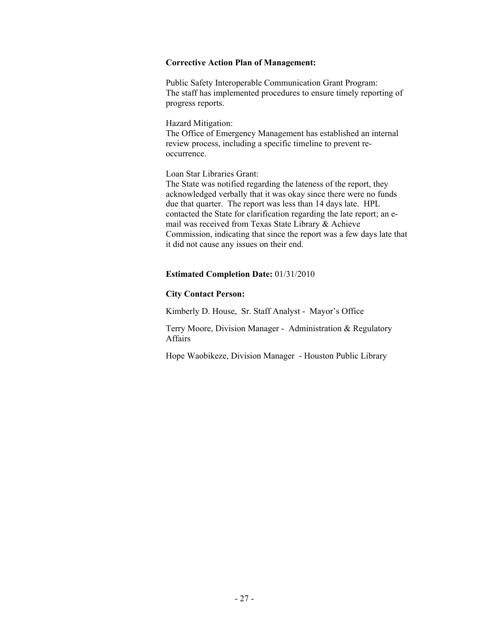#### **Corrective Action Plan of Management:**

Public Safety Interoperable Communication Grant Program: The staff has implemented procedures to ensure timely reporting of progress reports.

Hazard Mitigation:

The Office of Emergency Management has established an internal review process, including a specific timeline to prevent reoccurrence.

Loan Star Libraries Grant:

The State was notified regarding the lateness of the report, they acknowledged verbally that it was okay since there were no funds due that quarter. The report was less than 14 days late. HPL contacted the State for clarification regarding the late report; an email was received from Texas State Library & Achieve Commission, indicating that since the report was a few days late that it did not cause any issues on their end.

#### **Estimated Completion Date:** 01/31/2010

### **City Contact Person:**

Kimberly D. House, Sr. Staff Analyst - Mayor's Office

Terry Moore, Division Manager - Administration & Regulatory Affairs

Hope Waobikeze, Division Manager - Houston Public Library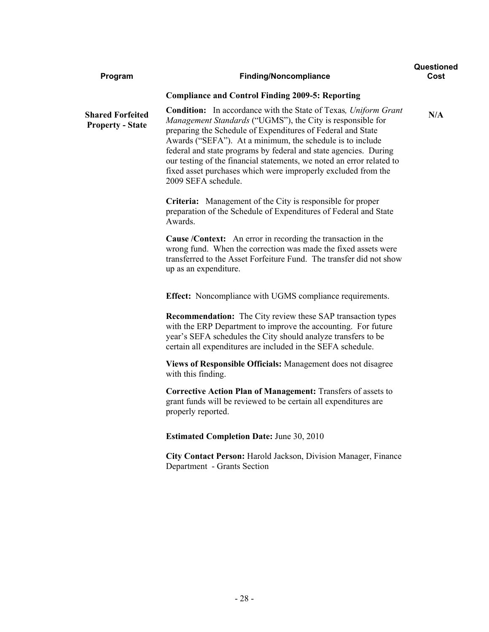| Program                                            | <b>Finding/Noncompliance</b>                                                                                                                                                                                                                                                                                                                                                                                                                                                                          | Questioned<br>Cost |
|----------------------------------------------------|-------------------------------------------------------------------------------------------------------------------------------------------------------------------------------------------------------------------------------------------------------------------------------------------------------------------------------------------------------------------------------------------------------------------------------------------------------------------------------------------------------|--------------------|
|                                                    | <b>Compliance and Control Finding 2009-5: Reporting</b>                                                                                                                                                                                                                                                                                                                                                                                                                                               |                    |
| <b>Shared Forfeited</b><br><b>Property - State</b> | <b>Condition:</b> In accordance with the State of Texas, Uniform Grant<br>Management Standards ("UGMS"), the City is responsible for<br>preparing the Schedule of Expenditures of Federal and State<br>Awards ("SEFA"). At a minimum, the schedule is to include<br>federal and state programs by federal and state agencies. During<br>our testing of the financial statements, we noted an error related to<br>fixed asset purchases which were improperly excluded from the<br>2009 SEFA schedule. | N/A                |
|                                                    | <b>Criteria:</b> Management of the City is responsible for proper<br>preparation of the Schedule of Expenditures of Federal and State<br>Awards.                                                                                                                                                                                                                                                                                                                                                      |                    |
|                                                    | <b>Cause /Context:</b> An error in recording the transaction in the<br>wrong fund. When the correction was made the fixed assets were<br>transferred to the Asset Forfeiture Fund. The transfer did not show<br>up as an expenditure.                                                                                                                                                                                                                                                                 |                    |
|                                                    | Effect: Noncompliance with UGMS compliance requirements.                                                                                                                                                                                                                                                                                                                                                                                                                                              |                    |
|                                                    | <b>Recommendation:</b> The City review these SAP transaction types<br>with the ERP Department to improve the accounting. For future<br>year's SEFA schedules the City should analyze transfers to be<br>certain all expenditures are included in the SEFA schedule.                                                                                                                                                                                                                                   |                    |
|                                                    | Views of Responsible Officials: Management does not disagree<br>with this finding.                                                                                                                                                                                                                                                                                                                                                                                                                    |                    |
|                                                    | <b>Corrective Action Plan of Management:</b> Transfers of assets to<br>grant funds will be reviewed to be certain all expenditures are<br>properly reported.                                                                                                                                                                                                                                                                                                                                          |                    |
|                                                    | <b>Estimated Completion Date: June 30, 2010</b>                                                                                                                                                                                                                                                                                                                                                                                                                                                       |                    |
|                                                    | City Contact Person: Harold Jackson, Division Manager, Finance<br>Department - Grants Section                                                                                                                                                                                                                                                                                                                                                                                                         |                    |
|                                                    |                                                                                                                                                                                                                                                                                                                                                                                                                                                                                                       |                    |
|                                                    |                                                                                                                                                                                                                                                                                                                                                                                                                                                                                                       |                    |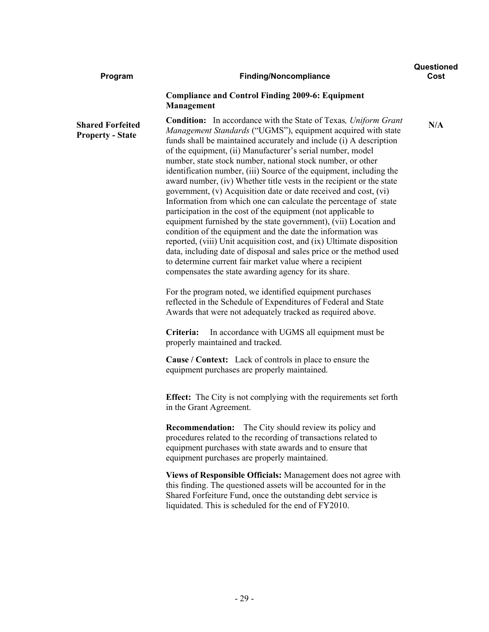| Program                                            | <b>Finding/Noncompliance</b>                                                                                                                                                                                                                                                                                                                                                                                                                                                                                                                                                                                                                                                                                                                                                                                                                                                                                                                                                                                                                                                                                                                                                                                                                                                                                                                                                                                                                                                                                                                                                                                                                                                                                                                                                                                                   | Questioned<br>Cost |
|----------------------------------------------------|--------------------------------------------------------------------------------------------------------------------------------------------------------------------------------------------------------------------------------------------------------------------------------------------------------------------------------------------------------------------------------------------------------------------------------------------------------------------------------------------------------------------------------------------------------------------------------------------------------------------------------------------------------------------------------------------------------------------------------------------------------------------------------------------------------------------------------------------------------------------------------------------------------------------------------------------------------------------------------------------------------------------------------------------------------------------------------------------------------------------------------------------------------------------------------------------------------------------------------------------------------------------------------------------------------------------------------------------------------------------------------------------------------------------------------------------------------------------------------------------------------------------------------------------------------------------------------------------------------------------------------------------------------------------------------------------------------------------------------------------------------------------------------------------------------------------------------|--------------------|
|                                                    | <b>Compliance and Control Finding 2009-6: Equipment</b><br>Management                                                                                                                                                                                                                                                                                                                                                                                                                                                                                                                                                                                                                                                                                                                                                                                                                                                                                                                                                                                                                                                                                                                                                                                                                                                                                                                                                                                                                                                                                                                                                                                                                                                                                                                                                          |                    |
| <b>Shared Forfeited</b><br><b>Property - State</b> | <b>Condition:</b> In accordance with the State of Texas, Uniform Grant<br>Management Standards ("UGMS"), equipment acquired with state<br>funds shall be maintained accurately and include (i) A description<br>of the equipment, (ii) Manufacturer's serial number, model<br>number, state stock number, national stock number, or other<br>identification number, (iii) Source of the equipment, including the<br>award number, (iv) Whether title vests in the recipient or the state<br>government, (v) Acquisition date or date received and cost, (vi)<br>Information from which one can calculate the percentage of state<br>participation in the cost of the equipment (not applicable to<br>equipment furnished by the state government), (vii) Location and<br>condition of the equipment and the date the information was<br>reported, (viii) Unit acquisition cost, and (ix) Ultimate disposition<br>data, including date of disposal and sales price or the method used<br>to determine current fair market value where a recipient<br>compensates the state awarding agency for its share.<br>For the program noted, we identified equipment purchases<br>reflected in the Schedule of Expenditures of Federal and State<br>Awards that were not adequately tracked as required above.<br>Criteria:<br>In accordance with UGMS all equipment must be<br>properly maintained and tracked.<br><b>Cause / Context:</b> Lack of controls in place to ensure the<br>equipment purchases are properly maintained.<br><b>Effect:</b> The City is not complying with the requirements set forth<br>in the Grant Agreement.<br><b>Recommendation:</b> The City should review its policy and<br>procedures related to the recording of transactions related to<br>equipment purchases with state awards and to ensure that | N/A                |
|                                                    | equipment purchases are properly maintained.                                                                                                                                                                                                                                                                                                                                                                                                                                                                                                                                                                                                                                                                                                                                                                                                                                                                                                                                                                                                                                                                                                                                                                                                                                                                                                                                                                                                                                                                                                                                                                                                                                                                                                                                                                                   |                    |
|                                                    | Views of Responsible Officials: Management does not agree with<br>this finding. The questioned assets will be accounted for in the<br>Shared Forfeiture Fund, once the outstanding debt service is<br>liquidated. This is scheduled for the end of FY2010.                                                                                                                                                                                                                                                                                                                                                                                                                                                                                                                                                                                                                                                                                                                                                                                                                                                                                                                                                                                                                                                                                                                                                                                                                                                                                                                                                                                                                                                                                                                                                                     |                    |
|                                                    |                                                                                                                                                                                                                                                                                                                                                                                                                                                                                                                                                                                                                                                                                                                                                                                                                                                                                                                                                                                                                                                                                                                                                                                                                                                                                                                                                                                                                                                                                                                                                                                                                                                                                                                                                                                                                                |                    |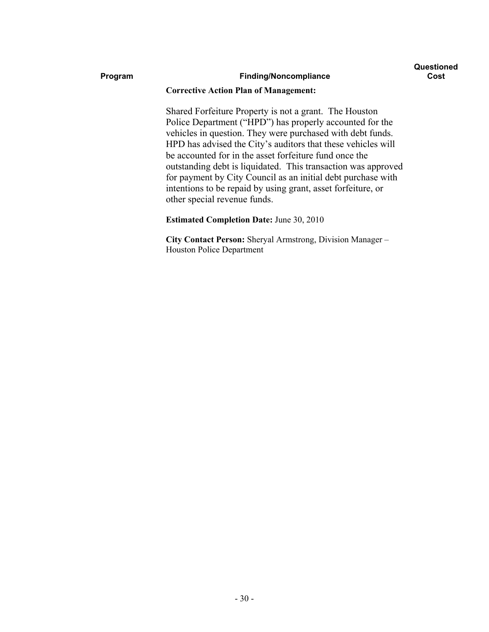#### **Program Finding/Noncompliance**

#### **Corrective Action Plan of Management:**

Shared Forfeiture Property is not a grant. The Houston Police Department ("HPD") has properly accounted for the vehicles in question. They were purchased with debt funds. HPD has advised the City's auditors that these vehicles will be accounted for in the asset forfeiture fund once the outstanding debt is liquidated. This transaction was approved for payment by City Council as an initial debt purchase with intentions to be repaid by using grant, asset forfeiture, or other special revenue funds.

#### **Estimated Completion Date:** June 30, 2010

**City Contact Person:** Sheryal Armstrong, Division Manager – Houston Police Department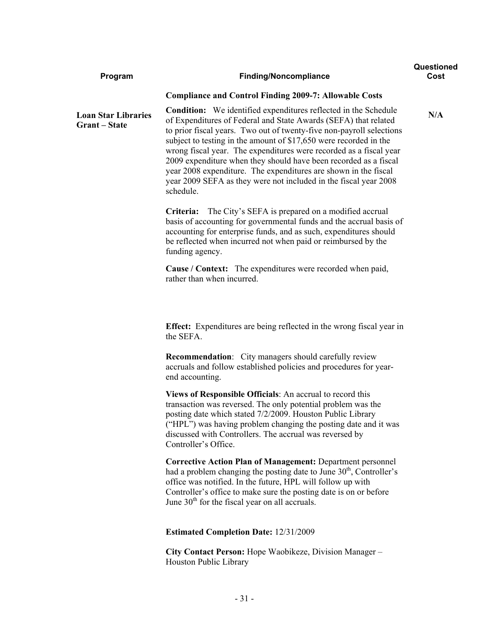| Program                                          | <b>Finding/Noncompliance</b>                                                                                                                                                                                                                                                                                                                                                                                                                                                                                                                                                         | Questioned<br>Cost |
|--------------------------------------------------|--------------------------------------------------------------------------------------------------------------------------------------------------------------------------------------------------------------------------------------------------------------------------------------------------------------------------------------------------------------------------------------------------------------------------------------------------------------------------------------------------------------------------------------------------------------------------------------|--------------------|
|                                                  | <b>Compliance and Control Finding 2009-7: Allowable Costs</b>                                                                                                                                                                                                                                                                                                                                                                                                                                                                                                                        |                    |
| <b>Loan Star Libraries</b><br><b>Grant-State</b> | <b>Condition:</b> We identified expenditures reflected in the Schedule<br>of Expenditures of Federal and State Awards (SEFA) that related<br>to prior fiscal years. Two out of twenty-five non-payroll selections<br>subject to testing in the amount of \$17,650 were recorded in the<br>wrong fiscal year. The expenditures were recorded as a fiscal year<br>2009 expenditure when they should have been recorded as a fiscal<br>year 2008 expenditure. The expenditures are shown in the fiscal<br>year 2009 SEFA as they were not included in the fiscal year 2008<br>schedule. | N/A                |
|                                                  | The City's SEFA is prepared on a modified accrual<br>Criteria:<br>basis of accounting for governmental funds and the accrual basis of<br>accounting for enterprise funds, and as such, expenditures should<br>be reflected when incurred not when paid or reimbursed by the<br>funding agency.                                                                                                                                                                                                                                                                                       |                    |
|                                                  | <b>Cause / Context:</b> The expenditures were recorded when paid,<br>rather than when incurred.                                                                                                                                                                                                                                                                                                                                                                                                                                                                                      |                    |
|                                                  | Effect: Expenditures are being reflected in the wrong fiscal year in<br>the SEFA.                                                                                                                                                                                                                                                                                                                                                                                                                                                                                                    |                    |
|                                                  | <b>Recommendation:</b> City managers should carefully review<br>accruals and follow established policies and procedures for year-<br>end accounting.                                                                                                                                                                                                                                                                                                                                                                                                                                 |                    |
|                                                  | Views of Responsible Officials: An accrual to record this<br>transaction was reversed. The only potential problem was the<br>posting date which stated 7/2/2009. Houston Public Library<br>("HPL") was having problem changing the posting date and it was<br>discussed with Controllers. The accrual was reversed by<br>Controller's Office.                                                                                                                                                                                                                                        |                    |
|                                                  | <b>Corrective Action Plan of Management: Department personnel</b><br>had a problem changing the posting date to June $30th$ , Controller's<br>office was notified. In the future, HPL will follow up with<br>Controller's office to make sure the posting date is on or before<br>June $30th$ for the fiscal year on all accruals.                                                                                                                                                                                                                                                   |                    |
|                                                  | <b>Estimated Completion Date: 12/31/2009</b>                                                                                                                                                                                                                                                                                                                                                                                                                                                                                                                                         |                    |
|                                                  | City Contact Person: Hope Waobikeze, Division Manager -                                                                                                                                                                                                                                                                                                                                                                                                                                                                                                                              |                    |

Houston Public Library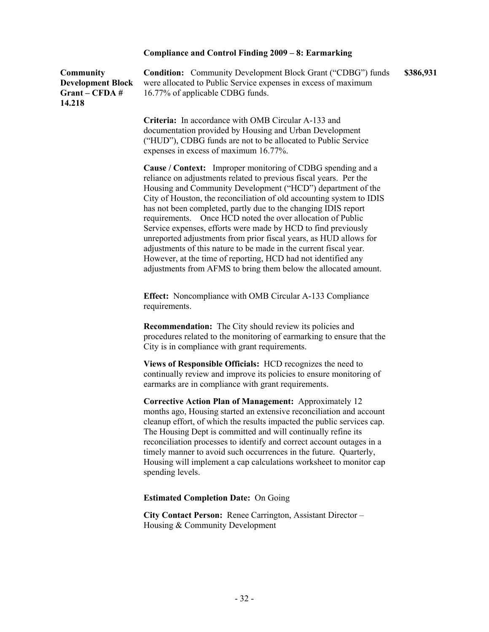### **Compliance and Control Finding 2009 – 8: Earmarking**

| <b>Community</b><br><b>Development Block</b><br>Grant – CFDA #<br>14.218 | <b>Condition:</b> Community Development Block Grant ("CDBG") funds<br>were allocated to Public Service expenses in excess of maximum<br>16.77% of applicable CDBG funds.                                                                                                                                                                                                                                                                                                                                                                                                                                                                                                                                                                                             | \$386,931 |
|--------------------------------------------------------------------------|----------------------------------------------------------------------------------------------------------------------------------------------------------------------------------------------------------------------------------------------------------------------------------------------------------------------------------------------------------------------------------------------------------------------------------------------------------------------------------------------------------------------------------------------------------------------------------------------------------------------------------------------------------------------------------------------------------------------------------------------------------------------|-----------|
|                                                                          | Criteria: In accordance with OMB Circular A-133 and<br>documentation provided by Housing and Urban Development<br>("HUD"), CDBG funds are not to be allocated to Public Service<br>expenses in excess of maximum 16.77%.                                                                                                                                                                                                                                                                                                                                                                                                                                                                                                                                             |           |
|                                                                          | <b>Cause</b> / <b>Context:</b> Improper monitoring of CDBG spending and a<br>reliance on adjustments related to previous fiscal years. Per the<br>Housing and Community Development ("HCD") department of the<br>City of Houston, the reconciliation of old accounting system to IDIS<br>has not been completed, partly due to the changing IDIS report<br>requirements. Once HCD noted the over allocation of Public<br>Service expenses, efforts were made by HCD to find previously<br>unreported adjustments from prior fiscal years, as HUD allows for<br>adjustments of this nature to be made in the current fiscal year.<br>However, at the time of reporting, HCD had not identified any<br>adjustments from AFMS to bring them below the allocated amount. |           |
|                                                                          | <b>Effect:</b> Noncompliance with OMB Circular A-133 Compliance<br>requirements.                                                                                                                                                                                                                                                                                                                                                                                                                                                                                                                                                                                                                                                                                     |           |
|                                                                          | <b>Recommendation:</b> The City should review its policies and<br>procedures related to the monitoring of earmarking to ensure that the<br>City is in compliance with grant requirements.                                                                                                                                                                                                                                                                                                                                                                                                                                                                                                                                                                            |           |
|                                                                          | Views of Responsible Officials: HCD recognizes the need to<br>continually review and improve its policies to ensure monitoring of<br>earmarks are in compliance with grant requirements.                                                                                                                                                                                                                                                                                                                                                                                                                                                                                                                                                                             |           |
|                                                                          | <b>Corrective Action Plan of Management:</b> Approximately 12<br>months ago, Housing started an extensive reconciliation and account<br>cleanup effort, of which the results impacted the public services cap.<br>The Housing Dept is committed and will continually refine its<br>reconciliation processes to identify and correct account outages in a<br>timely manner to avoid such occurrences in the future. Quarterly,<br>Housing will implement a cap calculations worksheet to monitor cap<br>spending levels.                                                                                                                                                                                                                                              |           |
|                                                                          | <b>Estimated Completion Date: On Going</b>                                                                                                                                                                                                                                                                                                                                                                                                                                                                                                                                                                                                                                                                                                                           |           |
|                                                                          | City Contact Person: Renee Carrington, Assistant Director -<br>Housing & Community Development                                                                                                                                                                                                                                                                                                                                                                                                                                                                                                                                                                                                                                                                       |           |
|                                                                          |                                                                                                                                                                                                                                                                                                                                                                                                                                                                                                                                                                                                                                                                                                                                                                      |           |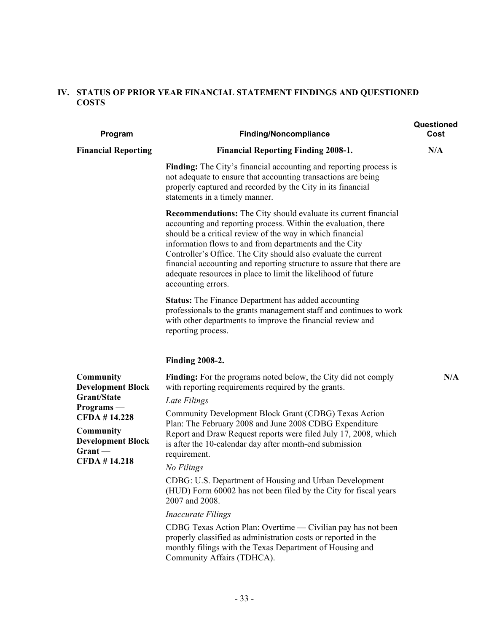### **IV. STATUS OF PRIOR YEAR FINANCIAL STATEMENT FINDINGS AND QUESTIONED COSTS**

| Program                                                                                                                                 | <b>Finding/Noncompliance</b>                                                                                                                                                                                                                                                                                                                                                                                                                                                                      | Questioned<br>Cost |
|-----------------------------------------------------------------------------------------------------------------------------------------|---------------------------------------------------------------------------------------------------------------------------------------------------------------------------------------------------------------------------------------------------------------------------------------------------------------------------------------------------------------------------------------------------------------------------------------------------------------------------------------------------|--------------------|
| <b>Financial Reporting</b>                                                                                                              | <b>Financial Reporting Finding 2008-1.</b>                                                                                                                                                                                                                                                                                                                                                                                                                                                        | N/A                |
|                                                                                                                                         | Finding: The City's financial accounting and reporting process is<br>not adequate to ensure that accounting transactions are being<br>properly captured and recorded by the City in its financial<br>statements in a timely manner.                                                                                                                                                                                                                                                               |                    |
|                                                                                                                                         | <b>Recommendations:</b> The City should evaluate its current financial<br>accounting and reporting process. Within the evaluation, there<br>should be a critical review of the way in which financial<br>information flows to and from departments and the City<br>Controller's Office. The City should also evaluate the current<br>financial accounting and reporting structure to assure that there are<br>adequate resources in place to limit the likelihood of future<br>accounting errors. |                    |
|                                                                                                                                         | <b>Status:</b> The Finance Department has added accounting<br>professionals to the grants management staff and continues to work<br>with other departments to improve the financial review and<br>reporting process.                                                                                                                                                                                                                                                                              |                    |
|                                                                                                                                         | <b>Finding 2008-2.</b>                                                                                                                                                                                                                                                                                                                                                                                                                                                                            |                    |
| <b>Community</b><br><b>Development Block</b>                                                                                            | Finding: For the programs noted below, the City did not comply<br>with reporting requirements required by the grants.                                                                                                                                                                                                                                                                                                                                                                             | N/A                |
| Grant/State<br>$Programs -$<br><b>CFDA #14.228</b><br><b>Community</b><br><b>Development Block</b><br>$G$ rant —<br><b>CFDA #14.218</b> | Late Filings                                                                                                                                                                                                                                                                                                                                                                                                                                                                                      |                    |
|                                                                                                                                         | Community Development Block Grant (CDBG) Texas Action<br>Plan: The February 2008 and June 2008 CDBG Expenditure<br>Report and Draw Request reports were filed July 17, 2008, which<br>is after the 10-calendar day after month-end submission<br>requirement.                                                                                                                                                                                                                                     |                    |
|                                                                                                                                         | No Filings                                                                                                                                                                                                                                                                                                                                                                                                                                                                                        |                    |
|                                                                                                                                         | CDBG: U.S. Department of Housing and Urban Development<br>(HUD) Form 60002 has not been filed by the City for fiscal years<br>2007 and 2008.                                                                                                                                                                                                                                                                                                                                                      |                    |
|                                                                                                                                         | <b>Inaccurate Filings</b>                                                                                                                                                                                                                                                                                                                                                                                                                                                                         |                    |
|                                                                                                                                         | CDBG Texas Action Plan: Overtime — Civilian pay has not been<br>properly classified as administration costs or reported in the<br>monthly filings with the Texas Department of Housing and<br>Community Affairs (TDHCA).                                                                                                                                                                                                                                                                          |                    |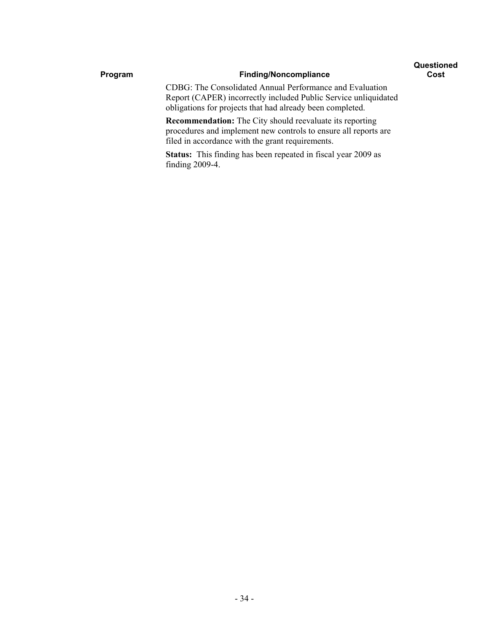#### **Questioned Cost**

### Program **Finding/Noncompliance**

CDBG: The Consolidated Annual Performance and Evaluation Report (CAPER) incorrectly included Public Service unliquidated obligations for projects that had already been completed.

**Recommendation:** The City should reevaluate its reporting procedures and implement new controls to ensure all reports are filed in accordance with the grant requirements.

**Status:** This finding has been repeated in fiscal year 2009 as finding 2009-4.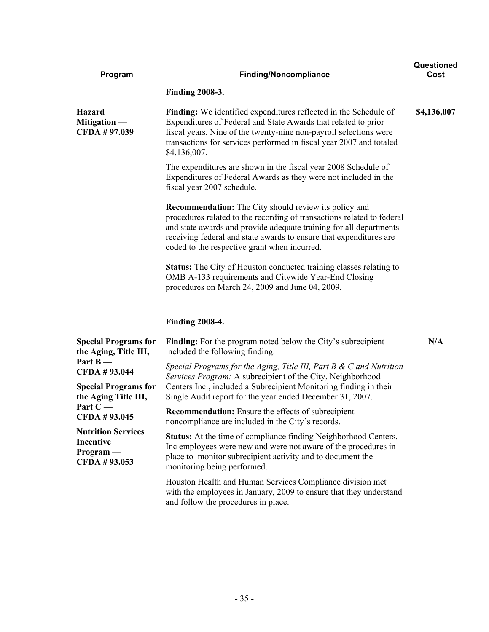| Program                                                                                                                                                                        | <b>Finding/Noncompliance</b>                                                                                                                                                                                                                                                                                                       | Questioned<br>Cost |
|--------------------------------------------------------------------------------------------------------------------------------------------------------------------------------|------------------------------------------------------------------------------------------------------------------------------------------------------------------------------------------------------------------------------------------------------------------------------------------------------------------------------------|--------------------|
|                                                                                                                                                                                | <b>Finding 2008-3.</b>                                                                                                                                                                                                                                                                                                             |                    |
| <b>Hazard</b><br>Mitigation —<br>CFDA # 97.039                                                                                                                                 | <b>Finding:</b> We identified expenditures reflected in the Schedule of<br>Expenditures of Federal and State Awards that related to prior<br>fiscal years. Nine of the twenty-nine non-payroll selections were<br>transactions for services performed in fiscal year 2007 and totaled<br>\$4,136,007.                              | \$4,136,007        |
|                                                                                                                                                                                | The expenditures are shown in the fiscal year 2008 Schedule of<br>Expenditures of Federal Awards as they were not included in the<br>fiscal year 2007 schedule.                                                                                                                                                                    |                    |
|                                                                                                                                                                                | <b>Recommendation:</b> The City should review its policy and<br>procedures related to the recording of transactions related to federal<br>and state awards and provide adequate training for all departments<br>receiving federal and state awards to ensure that expenditures are<br>coded to the respective grant when incurred. |                    |
|                                                                                                                                                                                | <b>Status:</b> The City of Houston conducted training classes relating to<br>OMB A-133 requirements and Citywide Year-End Closing<br>procedures on March 24, 2009 and June 04, 2009.                                                                                                                                               |                    |
|                                                                                                                                                                                | <b>Finding 2008-4.</b>                                                                                                                                                                                                                                                                                                             |                    |
| <b>Special Programs for</b><br>the Aging, Title III,<br>Part $B -$<br>CFDA #93.044<br><b>Special Programs for</b><br>the Aging Title III,<br>Part $C -$<br><b>CFDA #93.045</b> | <b>Finding:</b> For the program noted below the City's subrecipient<br>included the following finding.                                                                                                                                                                                                                             | N/A                |
|                                                                                                                                                                                | Special Programs for the Aging, Title III, Part B $\&$ C and Nutrition<br>Services Program: A subrecipient of the City, Neighborhood<br>Centers Inc., included a Subrecipient Monitoring finding in their<br>Single Audit report for the year ended December 31, 2007.                                                             |                    |
|                                                                                                                                                                                | <b>Recommendation:</b> Ensure the effects of subrecipient<br>noncompliance are included in the City's records.                                                                                                                                                                                                                     |                    |
| <b>Nutrition Services</b><br><b>Incentive</b><br>$Program -$<br>CFDA #93.053                                                                                                   | <b>Status:</b> At the time of compliance finding Neighborhood Centers,<br>Inc employees were new and were not aware of the procedures in<br>place to monitor subrecipient activity and to document the<br>monitoring being performed.                                                                                              |                    |
|                                                                                                                                                                                | Houston Health and Human Services Compliance division met<br>with the employees in January, 2009 to ensure that they understand<br>and follow the procedures in place.                                                                                                                                                             |                    |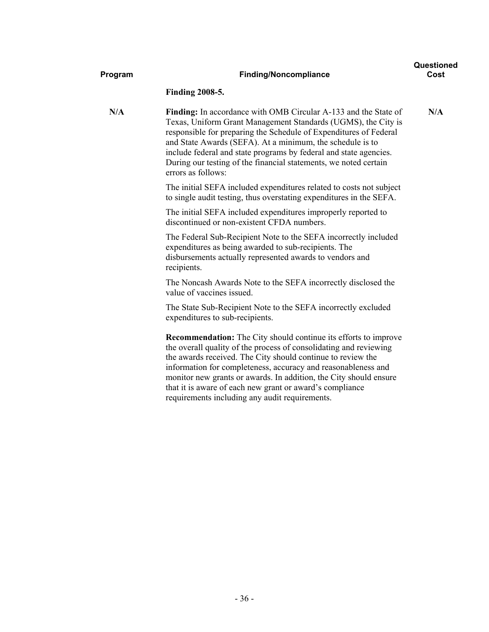| Program | <b>Finding/Noncompliance</b>                                                                                                                                                                                                                                                                                                                                                                                                                                   | Questioned<br>Cost |
|---------|----------------------------------------------------------------------------------------------------------------------------------------------------------------------------------------------------------------------------------------------------------------------------------------------------------------------------------------------------------------------------------------------------------------------------------------------------------------|--------------------|
|         | <b>Finding 2008-5.</b>                                                                                                                                                                                                                                                                                                                                                                                                                                         |                    |
| N/A     | <b>Finding:</b> In accordance with OMB Circular A-133 and the State of<br>Texas, Uniform Grant Management Standards (UGMS), the City is<br>responsible for preparing the Schedule of Expenditures of Federal<br>and State Awards (SEFA). At a minimum, the schedule is to<br>include federal and state programs by federal and state agencies.<br>During our testing of the financial statements, we noted certain<br>errors as follows:                       | N/A                |
|         | The initial SEFA included expenditures related to costs not subject<br>to single audit testing, thus overstating expenditures in the SEFA.                                                                                                                                                                                                                                                                                                                     |                    |
|         | The initial SEFA included expenditures improperly reported to<br>discontinued or non-existent CFDA numbers.                                                                                                                                                                                                                                                                                                                                                    |                    |
|         | The Federal Sub-Recipient Note to the SEFA incorrectly included<br>expenditures as being awarded to sub-recipients. The<br>disbursements actually represented awards to vendors and<br>recipients.                                                                                                                                                                                                                                                             |                    |
|         | The Noncash Awards Note to the SEFA incorrectly disclosed the<br>value of vaccines issued.                                                                                                                                                                                                                                                                                                                                                                     |                    |
|         | The State Sub-Recipient Note to the SEFA incorrectly excluded<br>expenditures to sub-recipients.                                                                                                                                                                                                                                                                                                                                                               |                    |
|         | <b>Recommendation:</b> The City should continue its efforts to improve<br>the overall quality of the process of consolidating and reviewing<br>the awards received. The City should continue to review the<br>information for completeness, accuracy and reasonableness and<br>monitor new grants or awards. In addition, the City should ensure<br>that it is aware of each new grant or award's compliance<br>requirements including any audit requirements. |                    |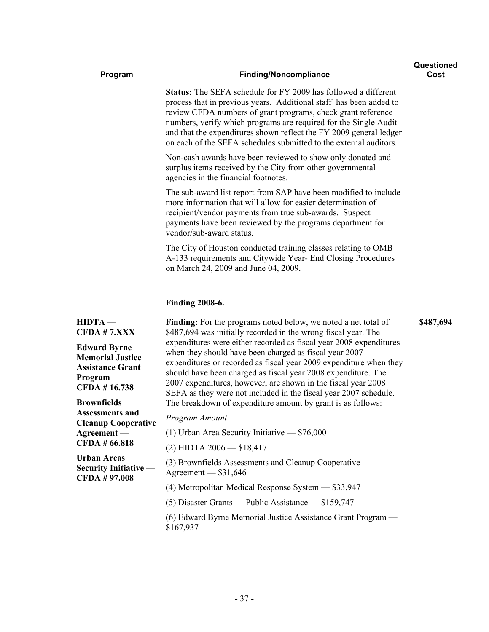| Program                                                                                                  | <b>Finding/Noncompliance</b>                                                                                                                                                                                                                                                                                                                                                                                                                                                                                                                        | Questioned<br>Cost |
|----------------------------------------------------------------------------------------------------------|-----------------------------------------------------------------------------------------------------------------------------------------------------------------------------------------------------------------------------------------------------------------------------------------------------------------------------------------------------------------------------------------------------------------------------------------------------------------------------------------------------------------------------------------------------|--------------------|
|                                                                                                          | <b>Status:</b> The SEFA schedule for FY 2009 has followed a different<br>process that in previous years. Additional staff has been added to<br>review CFDA numbers of grant programs, check grant reference<br>numbers, verify which programs are required for the Single Audit<br>and that the expenditures shown reflect the FY 2009 general ledger<br>on each of the SEFA schedules submitted to the external auditors.                                                                                                                          |                    |
|                                                                                                          | Non-cash awards have been reviewed to show only donated and<br>surplus items received by the City from other governmental<br>agencies in the financial footnotes.                                                                                                                                                                                                                                                                                                                                                                                   |                    |
|                                                                                                          | The sub-award list report from SAP have been modified to include<br>more information that will allow for easier determination of<br>recipient/vendor payments from true sub-awards. Suspect<br>payments have been reviewed by the programs department for<br>vendor/sub-award status.                                                                                                                                                                                                                                                               |                    |
|                                                                                                          | The City of Houston conducted training classes relating to OMB<br>A-133 requirements and Citywide Year- End Closing Procedures<br>on March 24, 2009 and June 04, 2009.                                                                                                                                                                                                                                                                                                                                                                              |                    |
|                                                                                                          | <b>Finding 2008-6.</b>                                                                                                                                                                                                                                                                                                                                                                                                                                                                                                                              |                    |
| $HIDTA -$<br>CFDA # 7.XXX                                                                                | <b>Finding:</b> For the programs noted below, we noted a net total of<br>\$487,694 was initially recorded in the wrong fiscal year. The<br>expenditures were either recorded as fiscal year 2008 expenditures<br>when they should have been charged as fiscal year 2007<br>expenditures or recorded as fiscal year 2009 expenditure when they<br>should have been charged as fiscal year 2008 expenditure. The<br>2007 expenditures, however, are shown in the fiscal year 2008<br>SEFA as they were not included in the fiscal year 2007 schedule. | \$487,694          |
| <b>Edward Byrne</b><br><b>Memorial Justice</b><br><b>Assistance Grant</b><br>$Program -$<br>CFDA #16.738 |                                                                                                                                                                                                                                                                                                                                                                                                                                                                                                                                                     |                    |
| <b>Brownfields</b>                                                                                       | The breakdown of expenditure amount by grant is as follows:                                                                                                                                                                                                                                                                                                                                                                                                                                                                                         |                    |
| <b>Assessments and</b><br><b>Cleanup Cooperative</b><br>Agreement-<br>CFDA # 66.818                      | Program Amount                                                                                                                                                                                                                                                                                                                                                                                                                                                                                                                                      |                    |
|                                                                                                          | $(1)$ Urban Area Security Initiative $-$ \$76,000                                                                                                                                                                                                                                                                                                                                                                                                                                                                                                   |                    |
|                                                                                                          | $(2)$ HIDTA 2006 - \$18,417                                                                                                                                                                                                                                                                                                                                                                                                                                                                                                                         |                    |
| <b>Urban Areas</b><br><b>Security Initiative -</b><br><b>CFDA #97.008</b>                                | (3) Brownfields Assessments and Cleanup Cooperative<br>Agreement $-$ \$31,646                                                                                                                                                                                                                                                                                                                                                                                                                                                                       |                    |
|                                                                                                          | (4) Metropolitan Medical Response System - \$33,947                                                                                                                                                                                                                                                                                                                                                                                                                                                                                                 |                    |
|                                                                                                          | $(5)$ Disaster Grants — Public Assistance — \$159,747                                                                                                                                                                                                                                                                                                                                                                                                                                                                                               |                    |
|                                                                                                          | (6) Edward Byrne Memorial Justice Assistance Grant Program —<br>\$167,937                                                                                                                                                                                                                                                                                                                                                                                                                                                                           |                    |

- 37 -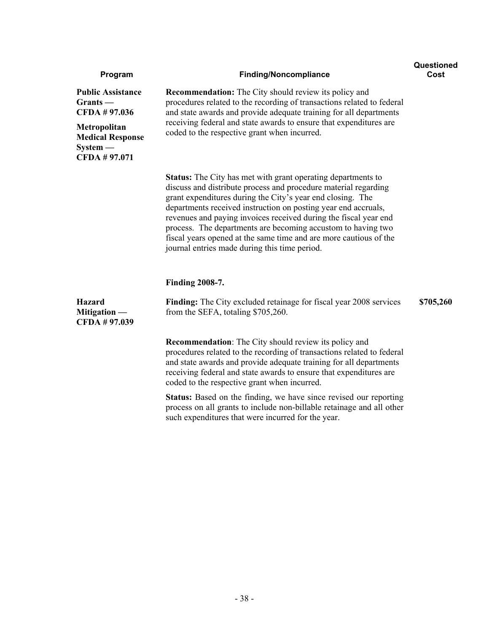| Program                                                                                                                         | <b>Finding/Noncompliance</b>                                                                                                                                                                                                                                                                                                                                                                                                                                                                                                     | Questioned<br>Cost |
|---------------------------------------------------------------------------------------------------------------------------------|----------------------------------------------------------------------------------------------------------------------------------------------------------------------------------------------------------------------------------------------------------------------------------------------------------------------------------------------------------------------------------------------------------------------------------------------------------------------------------------------------------------------------------|--------------------|
| <b>Public Assistance</b><br>$Grants -$<br>CFDA #97.036<br>Metropolitan<br><b>Medical Response</b><br>$System -$<br>CFDA #97.071 | <b>Recommendation:</b> The City should review its policy and<br>procedures related to the recording of transactions related to federal<br>and state awards and provide adequate training for all departments<br>receiving federal and state awards to ensure that expenditures are<br>coded to the respective grant when incurred.                                                                                                                                                                                               |                    |
|                                                                                                                                 | <b>Status:</b> The City has met with grant operating departments to<br>discuss and distribute process and procedure material regarding<br>grant expenditures during the City's year end closing. The<br>departments received instruction on posting year end accruals,<br>revenues and paying invoices received during the fiscal year end<br>process. The departments are becoming accustom to having two<br>fiscal years opened at the same time and are more cautious of the<br>journal entries made during this time period. |                    |
|                                                                                                                                 | <b>Finding 2008-7.</b>                                                                                                                                                                                                                                                                                                                                                                                                                                                                                                           |                    |
| <b>Hazard</b><br>Mitigation —<br>CFDA # 97.039                                                                                  | Finding: The City excluded retainage for fiscal year 2008 services<br>from the SEFA, totaling \$705,260.                                                                                                                                                                                                                                                                                                                                                                                                                         | \$705,260          |
|                                                                                                                                 | <b>Recommendation:</b> The City should review its policy and<br>procedures related to the recording of transactions related to federal<br>and state awards and provide adequate training for all departments<br>receiving federal and state awards to ensure that expenditures are<br>coded to the respective grant when incurred.                                                                                                                                                                                               |                    |
|                                                                                                                                 | <b>Status:</b> Based on the finding, we have since revised our reporting<br>process on all grants to include non-billable retainage and all other<br>such expenditures that were incurred for the year.                                                                                                                                                                                                                                                                                                                          |                    |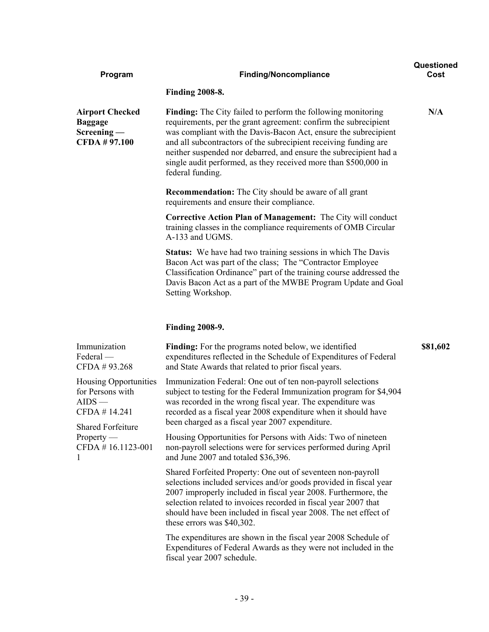| Program                                                                                                                                     | <b>Finding/Noncompliance</b>                                                                                                                                                                                                                                                                                                                                                                                                              | Questioned<br>Cost |
|---------------------------------------------------------------------------------------------------------------------------------------------|-------------------------------------------------------------------------------------------------------------------------------------------------------------------------------------------------------------------------------------------------------------------------------------------------------------------------------------------------------------------------------------------------------------------------------------------|--------------------|
|                                                                                                                                             | <b>Finding 2008-8.</b>                                                                                                                                                                                                                                                                                                                                                                                                                    |                    |
| <b>Airport Checked</b><br><b>Baggage</b><br>$Screening -$<br><b>CFDA #97.100</b>                                                            | <b>Finding:</b> The City failed to perform the following monitoring<br>requirements, per the grant agreement: confirm the subrecipient<br>was compliant with the Davis-Bacon Act, ensure the subrecipient<br>and all subcontractors of the subrecipient receiving funding are<br>neither suspended nor debarred, and ensure the subrecipient had a<br>single audit performed, as they received more than \$500,000 in<br>federal funding. | N/A                |
|                                                                                                                                             | <b>Recommendation:</b> The City should be aware of all grant<br>requirements and ensure their compliance.                                                                                                                                                                                                                                                                                                                                 |                    |
|                                                                                                                                             | <b>Corrective Action Plan of Management:</b> The City will conduct<br>training classes in the compliance requirements of OMB Circular<br>A-133 and UGMS.                                                                                                                                                                                                                                                                                  |                    |
|                                                                                                                                             | <b>Status:</b> We have had two training sessions in which The Davis<br>Bacon Act was part of the class; The "Contractor Employee"<br>Classification Ordinance" part of the training course addressed the<br>Davis Bacon Act as a part of the MWBE Program Update and Goal<br>Setting Workshop.                                                                                                                                            |                    |
|                                                                                                                                             | <b>Finding 2008-9.</b>                                                                                                                                                                                                                                                                                                                                                                                                                    |                    |
| Immunization<br>Federal —<br>CFDA #93.268                                                                                                   | <b>Finding:</b> For the programs noted below, we identified<br>expenditures reflected in the Schedule of Expenditures of Federal<br>and State Awards that related to prior fiscal years.                                                                                                                                                                                                                                                  | \$81,602           |
| Housing Opportunities<br>for Persons with<br>$AIDS$ —<br>CFDA #14.241<br><b>Shared Forfeiture</b><br>$Property -$<br>CFDA #16.1123-001<br>1 | Immunization Federal: One out of ten non-payroll selections<br>subject to testing for the Federal Immunization program for \$4,904<br>was recorded in the wrong fiscal year. The expenditure was<br>recorded as a fiscal year 2008 expenditure when it should have<br>been charged as a fiscal year 2007 expenditure.                                                                                                                     |                    |
|                                                                                                                                             | Housing Opportunities for Persons with Aids: Two of nineteen<br>non-payroll selections were for services performed during April<br>and June 2007 and totaled \$36,396.                                                                                                                                                                                                                                                                    |                    |
|                                                                                                                                             | Shared Forfeited Property: One out of seventeen non-payroll<br>selections included services and/or goods provided in fiscal year<br>2007 improperly included in fiscal year 2008. Furthermore, the<br>selection related to invoices recorded in fiscal year 2007 that<br>should have been included in fiscal year 2008. The net effect of<br>these errors was \$40,302.                                                                   |                    |
|                                                                                                                                             | The expenditures are shown in the fiscal year 2008 Schedule of<br>Expenditures of Federal Awards as they were not included in the<br>fiscal year 2007 schedule.                                                                                                                                                                                                                                                                           |                    |